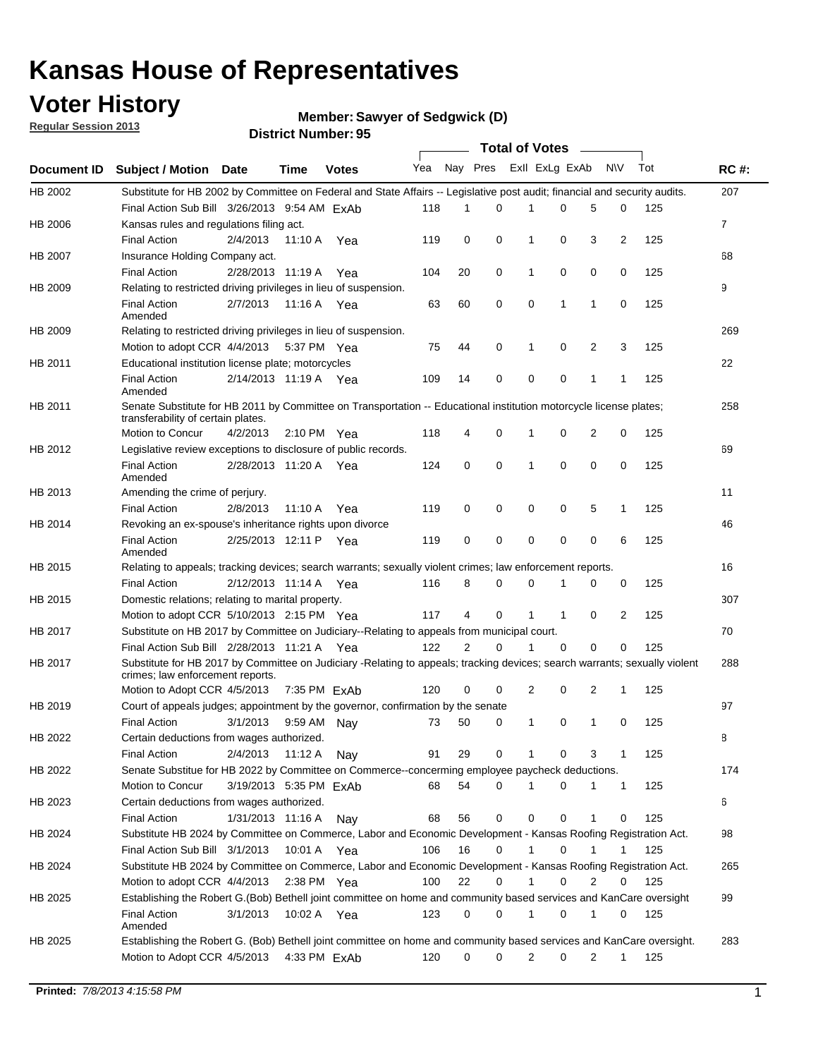### **Voter History**

**Member: Sawyer of Sedgwick (D)** 

**Regular Session 2013**

|                    |                                                                                                                                                                |                        | 6. וסעוווארו וערוכו <i>ש</i> |              |                             |                |             | Total of Votes |              |                |                |     |                |
|--------------------|----------------------------------------------------------------------------------------------------------------------------------------------------------------|------------------------|------------------------------|--------------|-----------------------------|----------------|-------------|----------------|--------------|----------------|----------------|-----|----------------|
| <b>Document ID</b> | <b>Subject / Motion Date</b>                                                                                                                                   |                        | <b>Time</b>                  | <b>Votes</b> | Yea Nay Pres Exll ExLg ExAb |                |             |                |              |                | N\V            | Tot | <b>RC#:</b>    |
| HB 2002            | Substitute for HB 2002 by Committee on Federal and State Affairs -- Legislative post audit; financial and security audits.                                     |                        |                              |              |                             |                |             |                |              |                |                |     | 207            |
|                    | Final Action Sub Bill 3/26/2013 9:54 AM ExAb                                                                                                                   |                        |                              |              | 118                         | 1              | 0           |                | 0            | 5              | 0              | 125 |                |
| HB 2006            | Kansas rules and regulations filing act.                                                                                                                       |                        |                              |              |                             |                |             |                |              |                |                |     | $\overline{7}$ |
|                    | <b>Final Action</b>                                                                                                                                            | 2/4/2013               | 11:10 A Yea                  |              | 119                         | 0              | 0           | $\mathbf 1$    | 0            | 3              | $\overline{2}$ | 125 |                |
| HB 2007            | Insurance Holding Company act.                                                                                                                                 |                        |                              |              |                             |                |             |                |              |                |                |     | 68             |
|                    | <b>Final Action</b>                                                                                                                                            | 2/28/2013 11:19 A      |                              | Yea          | 104                         | 20             | 0           | 1              | 0            | 0              | 0              | 125 |                |
| HB 2009            | Relating to restricted driving privileges in lieu of suspension.                                                                                               |                        |                              |              |                             |                |             |                |              |                |                |     | 9              |
|                    | <b>Final Action</b><br>Amended                                                                                                                                 | 2/7/2013               | 11:16 A Yea                  |              | 63                          | 60             | $\mathbf 0$ | 0              | $\mathbf 1$  | $\mathbf 1$    | 0              | 125 |                |
| HB 2009            | Relating to restricted driving privileges in lieu of suspension.                                                                                               |                        |                              |              |                             |                |             |                |              |                |                |     | 269            |
|                    | Motion to adopt CCR 4/4/2013                                                                                                                                   |                        | 5:37 PM Yea                  |              | 75                          | 44             | 0           | 1              | 0            | 2              | 3              | 125 |                |
| HB 2011            | Educational institution license plate; motorcycles                                                                                                             |                        |                              |              |                             |                |             |                |              |                |                |     | 22             |
|                    | <b>Final Action</b><br>Amended                                                                                                                                 | 2/14/2013 11:19 A Yea  |                              |              | 109                         | 14             | 0           | 0              | 0            | 1              | 1              | 125 |                |
| HB 2011            | Senate Substitute for HB 2011 by Committee on Transportation -- Educational institution motorcycle license plates;                                             |                        |                              |              |                             |                |             |                |              |                |                |     | 258            |
|                    | transferability of certain plates.                                                                                                                             |                        |                              |              |                             |                |             |                |              |                |                |     |                |
|                    | Motion to Concur                                                                                                                                               | 4/2/2013               | $2:10 \text{ PM}$ Yea        |              | 118                         | 4              | 0           | 1              | 0            | $\overline{2}$ | 0              | 125 |                |
| HB 2012            | Legislative review exceptions to disclosure of public records.                                                                                                 |                        |                              |              |                             |                |             |                |              |                |                |     | 69             |
|                    | <b>Final Action</b><br>Amended                                                                                                                                 | 2/28/2013 11:20 A Yea  |                              |              | 124                         | 0              | 0           | 1              | 0            | 0              | 0              | 125 |                |
| HB 2013            | Amending the crime of perjury.                                                                                                                                 |                        |                              |              |                             |                |             |                |              |                |                |     | 11             |
|                    | <b>Final Action</b>                                                                                                                                            | 2/8/2013               | 11:10 A                      | Yea          | 119                         | 0              | 0           | 0              | 0            | 5              | 1              | 125 |                |
| HB 2014            | Revoking an ex-spouse's inheritance rights upon divorce                                                                                                        |                        |                              |              |                             |                |             |                |              |                |                |     | 46             |
|                    | <b>Final Action</b><br>Amended                                                                                                                                 | 2/25/2013 12:11 P Yea  |                              |              | 119                         | 0              | $\mathbf 0$ | 0              | 0            | 0              | 6              | 125 |                |
| HB 2015            | Relating to appeals; tracking devices; search warrants; sexually violent crimes; law enforcement reports.                                                      |                        |                              |              |                             |                |             |                |              |                |                |     | 16             |
|                    | <b>Final Action</b>                                                                                                                                            | 2/12/2013 11:14 A Yea  |                              |              | 116                         | 8              | 0           | 0              |              | 0              | 0              | 125 |                |
| HB 2015            | Domestic relations; relating to marital property.                                                                                                              |                        |                              |              |                             |                |             |                |              |                |                |     | 307            |
|                    | Motion to adopt CCR 5/10/2013 2:15 PM Yea                                                                                                                      |                        |                              |              | 117                         | 4              | 0           | $\mathbf{1}$   | $\mathbf{1}$ | 0              | 2              | 125 |                |
| HB 2017            | Substitute on HB 2017 by Committee on Judiciary--Relating to appeals from municipal court.                                                                     |                        |                              |              |                             |                |             |                |              |                |                |     | 70             |
|                    | Final Action Sub Bill 2/28/2013 11:21 A Yea                                                                                                                    |                        |                              |              | 122                         | $\overline{2}$ | 0           | 1              | $\Omega$     | 0              | 0              | 125 |                |
| HB 2017            | Substitute for HB 2017 by Committee on Judiciary -Relating to appeals; tracking devices; search warrants; sexually violent<br>crimes; law enforcement reports. |                        |                              |              |                             |                |             |                |              |                |                |     | 288            |
|                    | Motion to Adopt CCR 4/5/2013 7:35 PM ExAb                                                                                                                      |                        |                              |              | 120                         | 0              | 0           | $\overline{2}$ | 0            | 2              | 1              | 125 |                |
| HB 2019            | Court of appeals judges; appointment by the governor, confirmation by the senate                                                                               |                        |                              |              |                             |                |             |                |              |                |                |     | 97             |
|                    | <b>Final Action</b>                                                                                                                                            | 3/1/2013               | 9:59 AM Nay                  |              | 73                          | 50             | 0           | 1              | 0            | 1              | 0              | 125 |                |
| HB 2022            | Certain deductions from wages authorized.                                                                                                                      |                        |                              |              |                             |                |             |                |              |                |                |     | В              |
|                    | <b>Final Action</b>                                                                                                                                            | 2/4/2013               | 11:12 A                      | Nav          | 91                          | 29             | 0           |                | 0            | 3              | 1              | 125 |                |
| HB 2022            | Senate Substitue for HB 2022 by Committee on Commerce--concerming employee paycheck deductions.                                                                |                        |                              |              |                             |                |             |                |              |                |                |     | 174            |
|                    | Motion to Concur                                                                                                                                               | 3/19/2013 5:35 PM ExAb |                              |              | 68                          | 54             | 0           | 1              | 0            | 1              | 1              | 125 |                |
| HB 2023            | Certain deductions from wages authorized.                                                                                                                      |                        |                              |              |                             |                |             |                |              |                |                |     | 6              |
|                    | <b>Final Action</b>                                                                                                                                            | 1/31/2013 11:16 A      |                              | Nav          | 68                          | 56             | 0           | 0              | 0            | 1              | 0              | 125 |                |
| HB 2024            | Substitute HB 2024 by Committee on Commerce, Labor and Economic Development - Kansas Roofing Registration Act.                                                 |                        |                              |              |                             |                |             |                |              |                |                |     | 98             |
|                    |                                                                                                                                                                |                        |                              |              |                             |                |             | $\mathbf{1}$   |              |                |                |     |                |
|                    | Final Action Sub Bill 3/1/2013                                                                                                                                 |                        | 10:01 A Yea                  |              | 106                         | 16             | 0           |                | 0            | 1              | 1              | 125 |                |
| HB 2024            | Substitute HB 2024 by Committee on Commerce, Labor and Economic Development - Kansas Roofing Registration Act.                                                 |                        |                              |              |                             |                |             |                |              |                |                |     | 265            |
|                    | Motion to adopt CCR 4/4/2013                                                                                                                                   |                        | $2:38$ PM Yea                |              | 100                         | 22             | 0           | $\mathbf{1}$   | 0            | 2              | 0              | 125 |                |
| HB 2025            | Establishing the Robert G.(Bob) Bethell joint committee on home and community based services and KanCare oversight                                             |                        |                              |              |                             |                |             |                |              |                |                |     | 99             |
|                    | <b>Final Action</b><br>Amended                                                                                                                                 | 3/1/2013               | 10:02 A Yea                  |              | 123                         | 0              | 0           | $\mathbf{1}$   | 0            | $\mathbf 1$    | 0              | 125 |                |
| HB 2025            | Establishing the Robert G. (Bob) Bethell joint committee on home and community based services and KanCare oversight.                                           |                        |                              |              |                             |                |             |                |              |                |                |     | 283            |
|                    | Motion to Adopt CCR 4/5/2013                                                                                                                                   |                        | 4:33 PM ExAb                 |              | 120                         | 0              | 0           | 2              | 0            | 2              | 1              | 125 |                |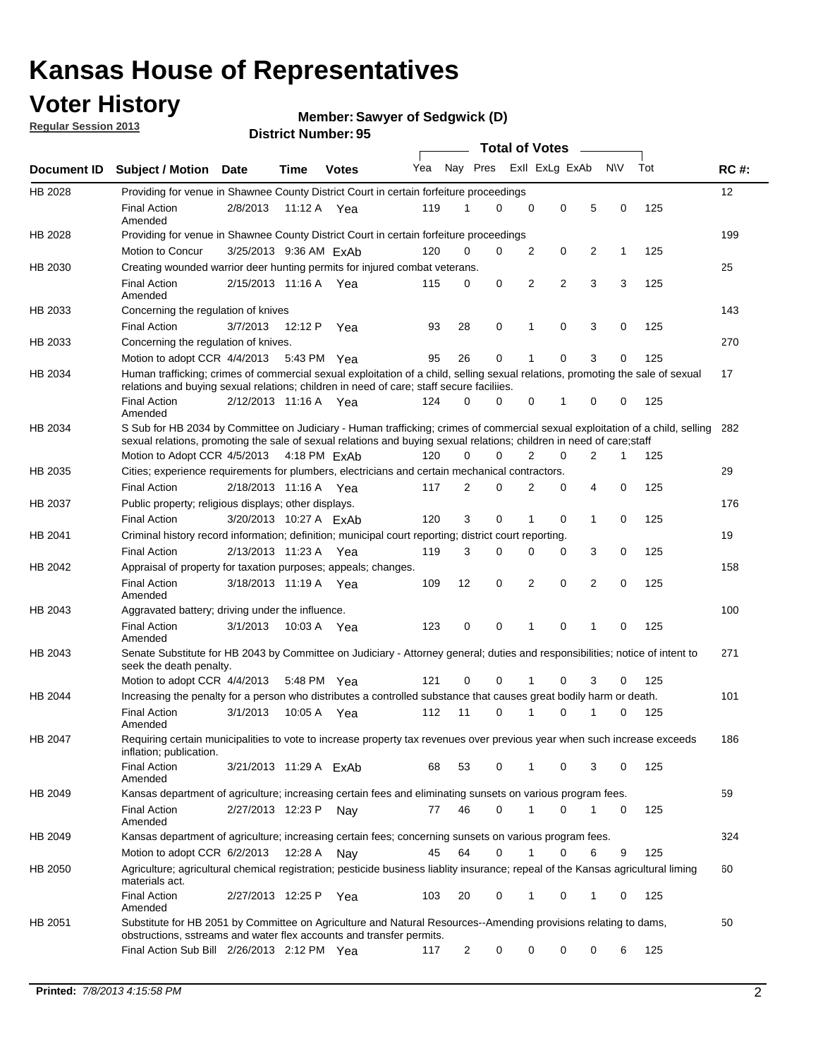### **Voter History**

**Member: Sawyer of Sedgwick (D)** 

**Regular Session 2013**

|             |                                                                                                                                                                                                                                                        |                        |             |              |     |                         | <b>Total of Votes</b> |                |                |                |           |     |     |
|-------------|--------------------------------------------------------------------------------------------------------------------------------------------------------------------------------------------------------------------------------------------------------|------------------------|-------------|--------------|-----|-------------------------|-----------------------|----------------|----------------|----------------|-----------|-----|-----|
| Document ID | <b>Subject / Motion</b>                                                                                                                                                                                                                                | Date                   | <b>Time</b> | <b>Votes</b> | Yea | Nay Pres Exll ExLg ExAb |                       |                |                |                | <b>NV</b> | Tot | RC# |
| HB 2028     | Providing for venue in Shawnee County District Court in certain forfeiture proceedings                                                                                                                                                                 |                        |             |              |     |                         |                       |                |                |                |           |     | 12  |
|             | <b>Final Action</b><br>Amended                                                                                                                                                                                                                         | 2/8/2013               | 11:12 A Yea |              | 119 | 1                       | $\Omega$              | $\mathbf 0$    | 0              | 5              | 0         | 125 |     |
| HB 2028     | Providing for venue in Shawnee County District Court in certain forfeiture proceedings                                                                                                                                                                 |                        |             |              |     |                         |                       |                |                |                |           |     | 199 |
|             | Motion to Concur                                                                                                                                                                                                                                       | 3/25/2013 9:36 AM ExAb |             |              | 120 | 0                       | $\Omega$              | 2              | 0              | 2              | 1         | 125 |     |
| HB 2030     | Creating wounded warrior deer hunting permits for injured combat veterans.                                                                                                                                                                             |                        |             |              |     |                         |                       |                |                |                |           |     | 25  |
|             | <b>Final Action</b><br>Amended                                                                                                                                                                                                                         | 2/15/2013 11:16 A      |             | Yea          | 115 | 0                       | 0                     | 2              | $\overline{2}$ | 3              | 3         | 125 |     |
| HB 2033     | Concerning the regulation of knives                                                                                                                                                                                                                    |                        |             |              |     |                         |                       |                |                |                |           |     | 143 |
|             | <b>Final Action</b>                                                                                                                                                                                                                                    | 3/7/2013               | 12:12 P     | Yea          | 93  | 28                      | 0                     | 1              | 0              | 3              | 0         | 125 |     |
| HB 2033     | Concerning the regulation of knives.                                                                                                                                                                                                                   |                        |             |              |     |                         |                       |                |                |                |           |     | 270 |
|             | Motion to adopt CCR 4/4/2013                                                                                                                                                                                                                           |                        | 5:43 PM Yea |              | 95  | 26                      | 0                     | 1              | 0              | 3              | 0         | 125 |     |
| HB 2034     | Human trafficking; crimes of commercial sexual exploitation of a child, selling sexual relations, promoting the sale of sexual<br>relations and buying sexual relations; children in need of care; staff secure faciliies.                             |                        |             |              |     |                         |                       |                |                |                |           |     | 17  |
|             | <b>Final Action</b><br>Amended                                                                                                                                                                                                                         | 2/12/2013 11:16 A Yea  |             |              | 124 | 0                       | $\Omega$              | 0              | 1              | 0              | 0         | 125 |     |
| HB 2034     | S Sub for HB 2034 by Committee on Judiciary - Human trafficking; crimes of commercial sexual exploitation of a child, selling<br>sexual relations, promoting the sale of sexual relations and buying sexual relations; children in need of care; staff |                        |             |              |     |                         |                       |                |                |                |           |     | 282 |
|             | Motion to Adopt CCR 4/5/2013 4:18 PM ExAb                                                                                                                                                                                                              |                        |             |              | 120 | 0                       | $\Omega$              | $\overline{2}$ | $\mathbf 0$    | $\overline{2}$ | 1         | 125 |     |
| HB 2035     | Cities; experience requirements for plumbers, electricians and certain mechanical contractors.                                                                                                                                                         |                        |             |              |     |                         |                       |                |                |                |           |     | 29  |
|             | <b>Final Action</b>                                                                                                                                                                                                                                    | 2/18/2013 11:16 A      |             | Yea          | 117 | 2                       | 0                     | 2              | 0              | 4              | 0         | 125 |     |
| HB 2037     | Public property; religious displays; other displays.                                                                                                                                                                                                   |                        |             |              |     |                         |                       |                |                |                |           |     | 176 |
|             | <b>Final Action</b>                                                                                                                                                                                                                                    | 3/20/2013 10:27 A FxAb |             |              | 120 | 3                       | 0                     | 1              | 0              | 1              | 0         | 125 |     |
| HB 2041     | Criminal history record information; definition; municipal court reporting; district court reporting.                                                                                                                                                  |                        |             |              |     |                         |                       |                |                |                |           |     | 19  |
|             | <b>Final Action</b>                                                                                                                                                                                                                                    | 2/13/2013 11:23 A      |             | Yea          | 119 | 3                       | 0                     | 0              | 0              | 3              | 0         | 125 |     |
| HB 2042     | Appraisal of property for taxation purposes; appeals; changes.                                                                                                                                                                                         |                        |             |              |     |                         |                       |                |                |                |           |     | 158 |
|             | <b>Final Action</b><br>Amended                                                                                                                                                                                                                         | 3/18/2013 11:19 A Yea  |             |              | 109 | 12                      | 0                     | 2              | 0              | 2              | 0         | 125 |     |
| HB 2043     | Aggravated battery; driving under the influence.                                                                                                                                                                                                       |                        |             |              |     |                         |                       |                |                |                |           |     | 100 |
|             | <b>Final Action</b><br>Amended                                                                                                                                                                                                                         | 3/1/2013               | 10:03 A Yea |              | 123 | 0                       | 0                     | 1              | 0              | 1              | 0         | 125 |     |
| HB 2043     | Senate Substitute for HB 2043 by Committee on Judiciary - Attorney general; duties and responsibilities; notice of intent to<br>seek the death penalty.                                                                                                |                        |             |              |     |                         |                       |                |                |                |           |     | 271 |
|             | Motion to adopt CCR 4/4/2013                                                                                                                                                                                                                           |                        | 5:48 PM     | Yea          | 121 | 0                       | $\Omega$              |                | 0              | 3              | 0         | 125 |     |
| HB 2044     | Increasing the penalty for a person who distributes a controlled substance that causes great bodily harm or death.                                                                                                                                     |                        |             |              |     |                         |                       |                |                |                |           |     | 101 |
|             | <b>Final Action</b><br>Amended                                                                                                                                                                                                                         | 3/1/2013               | 10:05 A     | Yea          | 112 | 11                      | $\Omega$              | 1              | 0              | 1              | 0         | 125 |     |
| HB 2047     | Requiring certain municipalities to vote to increase property tax revenues over previous year when such increase exceeds<br>inflation; publication.                                                                                                    |                        |             |              |     |                         |                       |                |                |                |           |     | 186 |
|             | <b>Final Action</b><br>Amended                                                                                                                                                                                                                         | 3/21/2013 11:29 A ExAb |             |              | 68  | 53                      | 0                     | 1              | 0              | 3              | 0         | 125 |     |
| HB 2049     | Kansas department of agriculture; increasing certain fees and eliminating sunsets on various program fees.                                                                                                                                             |                        |             |              |     |                         |                       |                |                |                |           |     | 59  |
|             | <b>Final Action</b><br>Amended                                                                                                                                                                                                                         | 2/27/2013 12:23 P      |             | Nav          | 77  | 46                      | 0                     | 1              | 0              | 1              | 0         | 125 |     |
| HB 2049     | Kansas department of agriculture; increasing certain fees; concerning sunsets on various program fees.                                                                                                                                                 |                        |             |              |     |                         |                       |                |                |                |           |     | 324 |
|             | Motion to adopt CCR 6/2/2013                                                                                                                                                                                                                           |                        | 12:28 A     | Nav          | 45  | 64                      | 0                     | 1              | 0              | 6              | 9         | 125 |     |
| HB 2050     | Agriculture; agricultural chemical registration; pesticide business liablity insurance; repeal of the Kansas agricultural liming<br>materials act.                                                                                                     |                        |             |              |     |                         |                       |                |                |                |           |     | 60  |
|             | <b>Final Action</b><br>Amended                                                                                                                                                                                                                         | 2/27/2013 12:25 P      |             | Yea          | 103 | 20                      | 0                     | 1              | 0              | 1              | 0         | 125 |     |
| HB 2051     | Substitute for HB 2051 by Committee on Agriculture and Natural Resources--Amending provisions relating to dams,<br>obstructions, sstreams and water flex accounts and transfer permits.                                                                |                        |             |              |     |                         |                       |                |                |                |           |     | 50  |
|             | Final Action Sub Bill 2/26/2013 2:12 PM Yea                                                                                                                                                                                                            |                        |             |              | 117 | 2                       | 0                     | 0              | 0              | 0              | 6         | 125 |     |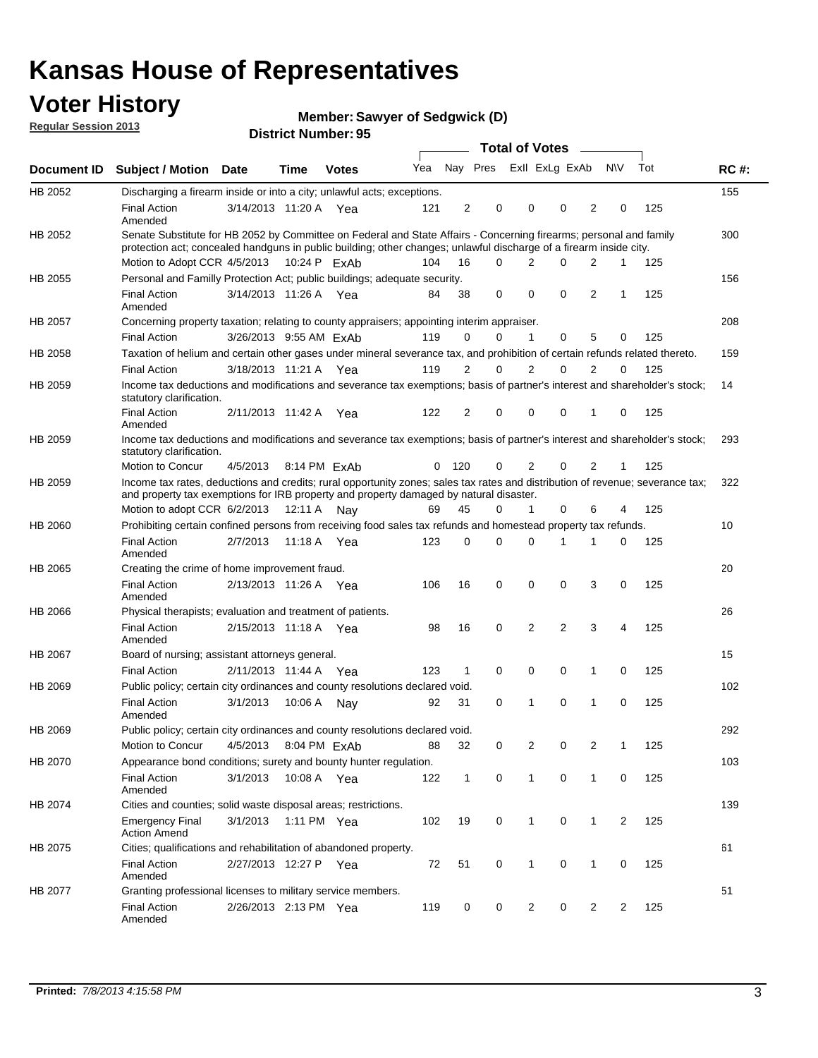### **Voter History**

**Member: Sawyer of Sedgwick (D)** 

**Regular Session 2013**

|             |                                                                                                                                                                                                                                          |                        |             | טט. וסעוווטנו ועוווטכ |     |                |          | <b>Total of Votes</b> | $\sim$         |                |                |     |             |
|-------------|------------------------------------------------------------------------------------------------------------------------------------------------------------------------------------------------------------------------------------------|------------------------|-------------|-----------------------|-----|----------------|----------|-----------------------|----------------|----------------|----------------|-----|-------------|
| Document ID | <b>Subject / Motion Date</b>                                                                                                                                                                                                             |                        | <b>Time</b> | <b>Votes</b>          | Yea |                | Nay Pres | Exll ExLg ExAb        |                |                | <b>NV</b>      | Tot | <b>RC#:</b> |
| HB 2052     | Discharging a firearm inside or into a city; unlawful acts; exceptions.                                                                                                                                                                  |                        |             |                       |     |                |          |                       |                |                |                |     | 155         |
|             | <b>Final Action</b><br>Amended                                                                                                                                                                                                           | 3/14/2013 11:20 A Yea  |             |                       | 121 | $\overline{2}$ | 0        | 0                     | 0              | $\overline{2}$ | 0              | 125 |             |
| HB 2052     | Senate Substitute for HB 2052 by Committee on Federal and State Affairs - Concerning firearms; personal and family<br>protection act; concealed handguns in public building; other changes; unlawful discharge of a firearm inside city. |                        |             |                       |     |                |          |                       |                |                |                |     | 300         |
|             | Motion to Adopt CCR 4/5/2013 10:24 P ExAb                                                                                                                                                                                                |                        |             |                       | 104 | 16             | $\Omega$ | 2                     | 0              | 2              | 1              | 125 |             |
| HB 2055     | Personal and Familly Protection Act; public buildings; adequate security.                                                                                                                                                                |                        |             |                       |     |                |          |                       |                |                |                |     | 156         |
|             | <b>Final Action</b><br>Amended                                                                                                                                                                                                           | 3/14/2013 11:26 A Yea  |             |                       | 84  | 38             | 0        | 0                     | 0              | 2              | 1              | 125 |             |
| HB 2057     | Concerning property taxation; relating to county appraisers; appointing interim appraiser.                                                                                                                                               |                        |             |                       |     |                |          |                       |                |                |                |     | 208         |
|             | <b>Final Action</b>                                                                                                                                                                                                                      | 3/26/2013 9:55 AM ExAb |             |                       | 119 | 0              | 0        | 1                     | 0              | 5              | 0              | 125 |             |
| HB 2058     | Taxation of helium and certain other gases under mineral severance tax, and prohibition of certain refunds related thereto.                                                                                                              |                        |             |                       |     |                |          |                       |                |                |                |     | 159         |
|             | <b>Final Action</b>                                                                                                                                                                                                                      | 3/18/2013 11:21 A Yea  |             |                       | 119 | 2              | 0        | $\overline{2}$        | $\Omega$       | 2              | $\Omega$       | 125 |             |
| HB 2059     | Income tax deductions and modifications and severance tax exemptions; basis of partner's interest and shareholder's stock;<br>statutory clarification.                                                                                   |                        |             |                       |     |                |          |                       |                |                |                |     | 14          |
|             | <b>Final Action</b><br>Amended                                                                                                                                                                                                           | 2/11/2013 11:42 A      |             | Yea                   | 122 | 2              | 0        | 0                     | 0              | 1              | 0              | 125 |             |
| HB 2059     | Income tax deductions and modifications and severance tax exemptions; basis of partner's interest and shareholder's stock;<br>statutory clarification.                                                                                   |                        |             |                       |     |                |          |                       |                |                |                |     | 293         |
|             | Motion to Concur                                                                                                                                                                                                                         | 4/5/2013               |             | 8:14 PM ExAb          | 0   | 120            | 0        | 2                     | 0              | $\overline{2}$ | 1              | 125 |             |
| HB 2059     | Income tax rates, deductions and credits; rural opportunity zones; sales tax rates and distribution of revenue; severance tax;<br>and property tax exemptions for IRB property and property damaged by natural disaster.                 |                        |             |                       |     |                |          |                       |                |                |                |     | 322         |
|             | Motion to adopt CCR 6/2/2013                                                                                                                                                                                                             |                        | 12:11 A     | Nav                   | 69  | 45             | 0        | $\mathbf{1}$          | $\Omega$       | 6              | 4              | 125 |             |
| HB 2060     | Prohibiting certain confined persons from receiving food sales tax refunds and homestead property tax refunds.                                                                                                                           |                        |             |                       |     |                |          |                       |                |                |                |     | 10          |
|             | <b>Final Action</b><br>Amended                                                                                                                                                                                                           | 2/7/2013               | 11:18 A     | Yea                   | 123 | $\mathbf 0$    | 0        | $\Omega$              | 1              | 1              | 0              | 125 |             |
| HB 2065     | Creating the crime of home improvement fraud.                                                                                                                                                                                            |                        |             |                       |     |                |          |                       |                |                |                |     | 20          |
|             | <b>Final Action</b><br>Amended                                                                                                                                                                                                           | 2/13/2013 11:26 A Yea  |             |                       | 106 | 16             | 0        | $\mathbf 0$           | 0              | 3              | 0              | 125 |             |
| HB 2066     | Physical therapists; evaluation and treatment of patients.                                                                                                                                                                               |                        |             |                       |     |                |          |                       |                |                |                |     | 26          |
|             | <b>Final Action</b><br>Amended                                                                                                                                                                                                           | 2/15/2013 11:18 A Yea  |             |                       | 98  | 16             | 0        | 2                     | $\overline{2}$ | 3              | 4              | 125 |             |
| HB 2067     | Board of nursing; assistant attorneys general.                                                                                                                                                                                           |                        |             |                       |     |                |          |                       |                |                |                |     | 15          |
|             | <b>Final Action</b>                                                                                                                                                                                                                      | 2/11/2013 11:44 A Yea  |             |                       | 123 | 1              | 0        | 0                     | 0              | 1              | 0              | 125 |             |
| HB 2069     | Public policy; certain city ordinances and county resolutions declared void.                                                                                                                                                             |                        |             |                       |     |                |          |                       |                |                |                |     | 102         |
|             | <b>Final Action</b><br>Amended                                                                                                                                                                                                           | 3/1/2013               | 10:06 A     | Nav                   | 92  | 31             | $\Omega$ | 1                     | $\Omega$       | 1              | $\mathbf 0$    | 125 |             |
| HB 2069     | Public policy; certain city ordinances and county resolutions declared void.                                                                                                                                                             |                        |             |                       |     |                |          |                       |                |                |                |     | 292         |
|             | <b>Motion to Concur</b>                                                                                                                                                                                                                  | 4/5/2013               |             | 8:04 PM ExAb          | 88  | 32             | 0        | 2                     | 0              | $\overline{2}$ | 1              | 125 |             |
| HB 2070     | Appearance bond conditions; surety and bounty hunter regulation.                                                                                                                                                                         |                        |             |                       |     |                |          |                       |                |                |                |     | 103         |
|             | <b>Final Action</b><br>Amended                                                                                                                                                                                                           | 3/1/2013               |             | 10:08 A Yea           | 122 | $\mathbf{1}$   | 0        | $\mathbf{1}$          | 0              | 1              | 0              | 125 |             |
| HB 2074     | Cities and counties; solid waste disposal areas; restrictions.                                                                                                                                                                           |                        |             |                       |     |                |          |                       |                |                |                |     | 139         |
|             | <b>Emergency Final</b><br><b>Action Amend</b>                                                                                                                                                                                            | 3/1/2013               |             | 1:11 PM Yea           | 102 | 19             | 0        | 1                     | 0              | 1              | $\overline{2}$ | 125 |             |
| HB 2075     | Cities; qualifications and rehabilitation of abandoned property.                                                                                                                                                                         |                        |             |                       |     |                |          |                       |                |                |                |     | 61          |
|             | <b>Final Action</b><br>Amended                                                                                                                                                                                                           | 2/27/2013 12:27 P Yea  |             |                       | 72  | 51             | 0        | 1                     | 0              | 1              | 0              | 125 |             |
| HB 2077     | Granting professional licenses to military service members.<br><b>Final Action</b><br>Amended                                                                                                                                            | 2/26/2013 2:13 PM Yea  |             |                       | 119 | 0              | 0        | $\overline{2}$        | 0              | $\overline{2}$ | 2              | 125 | 51          |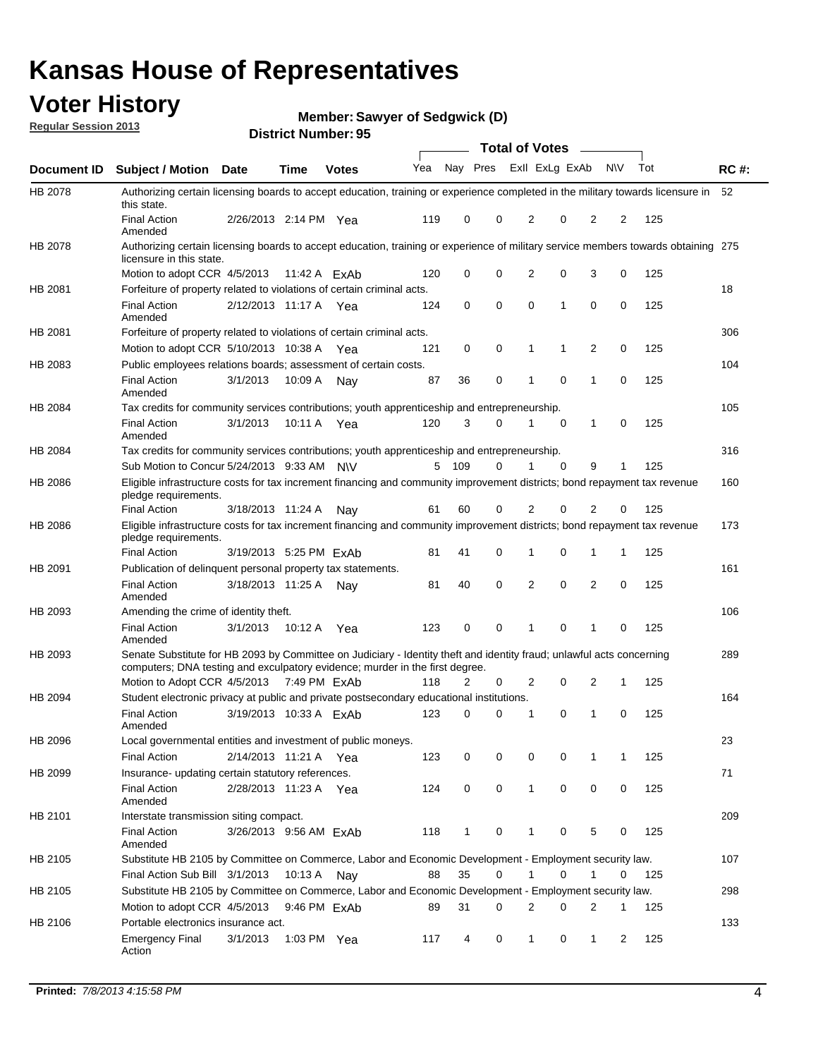### **Voter History**

**Member: Sawyer of Sedgwick (D)** 

**Regular Session 2013**

|             |                                                                                                                                                                                                       |                        | טט. וסעוווטנו ועוווטכ |              |     |              |             | <b>Total of Votes</b> |          | $\sim$         |           |     |             |
|-------------|-------------------------------------------------------------------------------------------------------------------------------------------------------------------------------------------------------|------------------------|-----------------------|--------------|-----|--------------|-------------|-----------------------|----------|----------------|-----------|-----|-------------|
| Document ID | <b>Subject / Motion Date</b>                                                                                                                                                                          |                        | <b>Time</b>           | <b>Votes</b> | Yea | Nay Pres     |             | Exll ExLg ExAb        |          |                | <b>NV</b> | Tot | <b>RC#:</b> |
| HB 2078     | Authorizing certain licensing boards to accept education, training or experience completed in the military towards licensure in<br>this state.                                                        |                        |                       |              |     |              |             |                       |          |                |           |     | 52          |
|             | <b>Final Action</b><br>Amended                                                                                                                                                                        | 2/26/2013 2:14 PM Yea  |                       |              | 119 | 0            | 0           | 2                     | 0        | $\overline{2}$ | 2         | 125 |             |
| HB 2078     | Authorizing certain licensing boards to accept education, training or experience of military service members towards obtaining 275<br>licensure in this state.                                        |                        |                       |              |     |              |             |                       |          |                |           |     |             |
|             | Motion to adopt CCR 4/5/2013                                                                                                                                                                          |                        | 11:42 A FxAb          |              | 120 | 0            | $\mathbf 0$ | $\overline{2}$        | 0        | 3              | 0         | 125 |             |
| HB 2081     | Forfeiture of property related to violations of certain criminal acts.                                                                                                                                |                        |                       |              |     |              |             |                       |          |                |           |     | 18          |
|             | <b>Final Action</b><br>Amended                                                                                                                                                                        | 2/12/2013 11:17 A Yea  |                       |              | 124 | 0            | 0           | $\Omega$              | 1        | 0              | 0         | 125 |             |
| HB 2081     | Forfeiture of property related to violations of certain criminal acts.                                                                                                                                |                        |                       |              |     |              |             |                       |          |                |           |     | 306         |
|             | Motion to adopt CCR 5/10/2013 10:38 A                                                                                                                                                                 |                        |                       | Yea          | 121 | 0            | 0           | 1                     | 1        | 2              | 0         | 125 |             |
| HB 2083     | Public employees relations boards; assessment of certain costs.                                                                                                                                       |                        |                       |              |     |              |             |                       |          |                |           |     | 104         |
|             | <b>Final Action</b><br>Amended                                                                                                                                                                        | 3/1/2013               | 10:09 A               | Nay          | 87  | 36           | 0           | 1                     | 0        | 1              | 0         | 125 |             |
| HB 2084     | Tax credits for community services contributions; youth apprenticeship and entrepreneurship.                                                                                                          |                        |                       |              |     |              |             |                       |          |                |           |     | 105         |
|             | <b>Final Action</b><br>Amended                                                                                                                                                                        | 3/1/2013               | 10:11 A               | Yea          | 120 | 3            | $\Omega$    | 1                     | 0        | 1              | 0         | 125 |             |
| HB 2084     | Tax credits for community services contributions; youth apprenticeship and entrepreneurship.                                                                                                          |                        |                       |              |     |              |             |                       |          |                |           |     | 316         |
|             | Sub Motion to Concur 5/24/2013 9:33 AM N\V                                                                                                                                                            |                        |                       |              | 5   | 109          | $\Omega$    | 1                     | $\Omega$ | 9              | 1         | 125 |             |
| HB 2086     | Eligible infrastructure costs for tax increment financing and community improvement districts; bond repayment tax revenue<br>pledge requirements.                                                     |                        |                       |              |     |              |             |                       |          |                |           |     | 160         |
|             | <b>Final Action</b>                                                                                                                                                                                   | 3/18/2013 11:24 A      |                       | Nay          | 61  | 60           | 0           | 2                     | 0        | 2              | 0         | 125 |             |
| HB 2086     | Eligible infrastructure costs for tax increment financing and community improvement districts; bond repayment tax revenue<br>pledge requirements.                                                     |                        |                       |              |     |              |             |                       |          |                |           |     | 173         |
|             | <b>Final Action</b>                                                                                                                                                                                   | 3/19/2013 5:25 PM ExAb |                       |              | 81  | 41           | 0           | 1                     | 0        | 1              | 1         | 125 |             |
| HB 2091     | Publication of delinquent personal property tax statements.                                                                                                                                           |                        |                       |              |     |              |             |                       |          |                |           |     | 161         |
|             | <b>Final Action</b><br>Amended                                                                                                                                                                        | 3/18/2013 11:25 A      |                       | Nav          | 81  | 40           | 0           | 2                     | 0        | $\overline{2}$ | 0         | 125 |             |
| HB 2093     | Amending the crime of identity theft.                                                                                                                                                                 |                        |                       |              |     |              |             |                       |          |                |           |     | 106         |
|             | <b>Final Action</b><br>Amended                                                                                                                                                                        | 3/1/2013               | 10:12 A               | Yea          | 123 | 0            | $\Omega$    | 1                     | 0        | 1              | 0         | 125 |             |
| HB 2093     | Senate Substitute for HB 2093 by Committee on Judiciary - Identity theft and identity fraud; unlawful acts concerning<br>computers; DNA testing and exculpatory evidence; murder in the first degree. |                        |                       |              |     |              |             |                       |          |                |           |     | 289         |
|             | Motion to Adopt CCR 4/5/2013 7:49 PM ExAb                                                                                                                                                             |                        |                       |              | 118 | 2            | 0           | 2                     | 0        | 2              | 1         | 125 |             |
| HB 2094     | Student electronic privacy at public and private postsecondary educational institutions.                                                                                                              |                        |                       |              |     |              |             |                       |          |                |           |     | 164         |
|             | <b>Final Action</b><br>Amended                                                                                                                                                                        | 3/19/2013 10:33 A ExAb |                       |              | 123 | 0            | 0           | 1                     | 0        | 1              | 0         | 125 |             |
| HB 2096     | Local governmental entities and investment of public moneys.                                                                                                                                          |                        |                       |              |     |              |             |                       |          |                |           |     | 23          |
|             | <b>Final Action</b>                                                                                                                                                                                   | 2/14/2013 11:21 A      |                       | Yea          | 123 | 0            | 0           | 0                     | 0        | 1              | 1         | 125 |             |
| HB 2099     | Insurance- updating certain statutory references.                                                                                                                                                     |                        |                       |              |     |              |             |                       |          |                |           |     | 71          |
|             | <b>Final Action</b><br>Amended                                                                                                                                                                        | 2/28/2013 11:23 A      |                       | Yea          | 124 | 0            | 0           | 1                     | 0        | 0              | 0         | 125 |             |
| HB 2101     | Interstate transmission siting compact.                                                                                                                                                               |                        |                       |              |     |              |             |                       |          |                |           |     | 209         |
|             | <b>Final Action</b><br>Amended                                                                                                                                                                        | 3/26/2013 9:56 AM ExAb |                       |              | 118 | $\mathbf{1}$ | 0           | 1                     | 0        | 5              | 0         | 125 |             |
| HB 2105     | Substitute HB 2105 by Committee on Commerce, Labor and Economic Development - Employment security law.                                                                                                |                        |                       |              |     |              |             |                       |          |                |           |     | 107         |
|             | Final Action Sub Bill 3/1/2013                                                                                                                                                                        |                        | 10:13 A Nay           |              | 88  | 35           | 0           |                       | 0        | 1              | 0         | 125 |             |
| HB 2105     | Substitute HB 2105 by Committee on Commerce, Labor and Economic Development - Employment security law.                                                                                                |                        |                       |              |     |              |             |                       |          |                |           |     | 298         |
|             | Motion to adopt CCR 4/5/2013                                                                                                                                                                          |                        | 9:46 PM ExAb          |              | 89  | 31           | 0           | 2                     | 0        | 2              | 1         | 125 |             |
| HB 2106     | Portable electronics insurance act.                                                                                                                                                                   |                        |                       |              |     |              |             |                       |          |                |           |     | 133         |
|             | <b>Emergency Final</b><br>Action                                                                                                                                                                      | 3/1/2013               | 1:03 PM Yea           |              | 117 | 4            | 0           | $\mathbf{1}$          | 0        | $\mathbf{1}$   | 2         | 125 |             |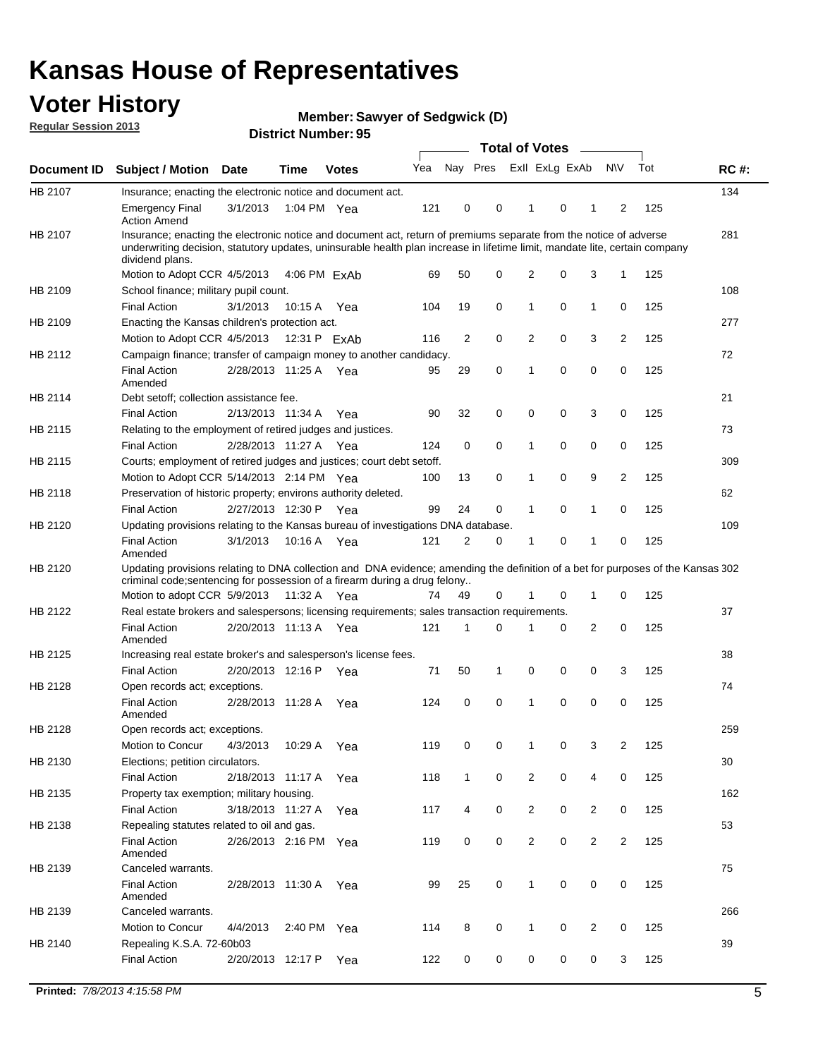### **Voter History**

**Member: Sawyer of Sedgwick (D)** 

**Regular Session 2013**

|             |                                                                                                                                                                                                                                                                      |                       |              |              |     |              | <b>Total of Votes</b> |                |   | $\overline{\phantom{0}}$ |           |     |     |
|-------------|----------------------------------------------------------------------------------------------------------------------------------------------------------------------------------------------------------------------------------------------------------------------|-----------------------|--------------|--------------|-----|--------------|-----------------------|----------------|---|--------------------------|-----------|-----|-----|
| Document ID | Subject / Motion Date                                                                                                                                                                                                                                                |                       | Time         | <b>Votes</b> | Yea | Nay Pres     |                       | Exll ExLg ExAb |   |                          | <b>NV</b> | Tot | RC# |
| HB 2107     | Insurance; enacting the electronic notice and document act.                                                                                                                                                                                                          |                       |              |              |     |              |                       |                |   |                          |           |     | 134 |
|             | <b>Emergency Final</b><br><b>Action Amend</b>                                                                                                                                                                                                                        | 3/1/2013              | 1:04 PM Yea  |              | 121 | 0            | 0                     | 1              | 0 | 1                        | 2         | 125 |     |
| HB 2107     | Insurance; enacting the electronic notice and document act, return of premiums separate from the notice of adverse<br>underwriting decision, statutory updates, uninsurable health plan increase in lifetime limit, mandate lite, certain company<br>dividend plans. |                       |              |              |     |              |                       |                |   |                          |           |     | 281 |
|             | Motion to Adopt CCR 4/5/2013                                                                                                                                                                                                                                         |                       | 4:06 PM ExAb |              | 69  | 50           | 0                     | 2              | 0 | 3                        | 1         | 125 |     |
| HB 2109     | School finance; military pupil count.                                                                                                                                                                                                                                |                       |              |              |     |              |                       |                |   |                          |           |     | 108 |
|             | <b>Final Action</b>                                                                                                                                                                                                                                                  | 3/1/2013              | 10:15 A      | Yea          | 104 | 19           | 0                     | 1              | 0 | $\mathbf{1}$             | 0         | 125 |     |
| HB 2109     | Enacting the Kansas children's protection act.                                                                                                                                                                                                                       |                       |              |              |     |              |                       |                |   |                          |           |     | 277 |
|             | Motion to Adopt CCR 4/5/2013                                                                                                                                                                                                                                         |                       | 12:31 P ExAb |              | 116 | 2            | 0                     | 2              | 0 | 3                        | 2         | 125 |     |
| HB 2112     | Campaign finance; transfer of campaign money to another candidacy.                                                                                                                                                                                                   |                       |              |              |     |              |                       |                |   |                          |           |     | 72  |
|             | <b>Final Action</b><br>Amended                                                                                                                                                                                                                                       | 2/28/2013 11:25 A Yea |              |              | 95  | 29           | 0                     | 1              | 0 | 0                        | 0         | 125 |     |
| HB 2114     | Debt setoff; collection assistance fee.                                                                                                                                                                                                                              |                       |              |              |     |              |                       |                |   |                          |           |     | 21  |
|             | <b>Final Action</b>                                                                                                                                                                                                                                                  | 2/13/2013 11:34 A     |              | Yea          | 90  | 32           | 0                     | 0              | 0 | 3                        | 0         | 125 |     |
| HB 2115     | Relating to the employment of retired judges and justices.                                                                                                                                                                                                           |                       |              |              |     |              |                       |                |   |                          |           |     | 73  |
|             | <b>Final Action</b>                                                                                                                                                                                                                                                  | 2/28/2013 11:27 A Yea |              |              | 124 | 0            | 0                     | 1              | 0 | 0                        | 0         | 125 |     |
| HB 2115     | Courts; employment of retired judges and justices; court debt setoff.                                                                                                                                                                                                |                       |              |              |     |              |                       |                |   |                          |           |     | 309 |
|             | Motion to Adopt CCR 5/14/2013 2:14 PM Yea                                                                                                                                                                                                                            |                       |              |              | 100 | 13           | 0                     | 1              | 0 | 9                        | 2         | 125 |     |
| HB 2118     | Preservation of historic property; environs authority deleted.                                                                                                                                                                                                       |                       |              |              |     |              |                       |                |   |                          |           |     | 62  |
|             | <b>Final Action</b>                                                                                                                                                                                                                                                  | 2/27/2013 12:30 P     |              | Yea          | 99  | 24           | 0                     | 1              | 0 | 1                        | 0         | 125 |     |
| HB 2120     | Updating provisions relating to the Kansas bureau of investigations DNA database.                                                                                                                                                                                    |                       |              |              |     |              |                       |                |   |                          |           |     | 109 |
|             | <b>Final Action</b><br>Amended                                                                                                                                                                                                                                       | 3/1/2013              | 10:16 A      | Yea          | 121 | 2            | 0                     | 1              | 0 | 1                        | 0         | 125 |     |
| HB 2120     | Updating provisions relating to DNA collection and DNA evidence; amending the definition of a bet for purposes of the Kansas 302<br>criminal code; sentencing for possession of a firearm during a drug felony                                                       |                       |              |              |     |              |                       |                |   |                          |           |     |     |
|             | Motion to adopt CCR 5/9/2013 11:32 A Yea                                                                                                                                                                                                                             |                       |              |              | 74  | 49           | 0                     |                | 0 | 1                        | 0         | 125 |     |
| HB 2122     | Real estate brokers and salespersons; licensing requirements; sales transaction requirements.                                                                                                                                                                        |                       |              |              |     |              |                       |                |   |                          |           |     | 37  |
|             | <b>Final Action</b><br>Amended                                                                                                                                                                                                                                       | 2/20/2013 11:13 A Yea |              |              | 121 | 1            | 0                     |                | 0 | $\overline{2}$           | 0         | 125 |     |
| HB 2125     | Increasing real estate broker's and salesperson's license fees.                                                                                                                                                                                                      |                       |              |              |     |              |                       |                |   |                          |           |     | 38  |
|             | <b>Final Action</b>                                                                                                                                                                                                                                                  | 2/20/2013 12:16 P     |              | Yea          | 71  | 50           | 1                     | 0              | 0 | 0                        | 3         | 125 |     |
| HB 2128     | Open records act; exceptions.                                                                                                                                                                                                                                        |                       |              |              |     |              |                       |                |   |                          |           |     | 74  |
|             | <b>Final Action</b><br>Amended                                                                                                                                                                                                                                       | 2/28/2013 11:28 A     |              | Yea          | 124 | 0            | 0                     |                | 0 | 0                        | 0         | 125 |     |
| HB 2128     | Open records act; exceptions.                                                                                                                                                                                                                                        |                       |              |              |     |              |                       |                |   |                          |           |     | 259 |
|             | Motion to Concur                                                                                                                                                                                                                                                     | 4/3/2013              | 10:29 A      | Yea          | 119 | 0            | 0                     | 1              | 0 | 3                        | 2         | 125 |     |
| HB 2130     | Elections; petition circulators.                                                                                                                                                                                                                                     |                       |              |              |     |              |                       |                |   |                          |           |     | 30  |
|             | <b>Final Action</b>                                                                                                                                                                                                                                                  | 2/18/2013 11:17 A     |              | Yea          | 118 | $\mathbf{1}$ | 0                     | $\overline{2}$ | 0 | 4                        | 0         | 125 |     |
| HB 2135     | Property tax exemption; military housing.                                                                                                                                                                                                                            |                       |              |              |     |              |                       |                |   |                          |           |     | 162 |
|             | <b>Final Action</b>                                                                                                                                                                                                                                                  | 3/18/2013 11:27 A     |              | Yea          | 117 | 4            | 0                     | $\overline{c}$ | 0 | 2                        | 0         | 125 |     |
| HB 2138     | Repealing statutes related to oil and gas.                                                                                                                                                                                                                           |                       |              |              |     |              |                       |                |   |                          |           |     | 53  |
|             | <b>Final Action</b><br>Amended                                                                                                                                                                                                                                       | 2/26/2013 2:16 PM Yea |              |              | 119 | 0            | 0                     | $\overline{c}$ | 0 | $\overline{2}$           | 2         | 125 |     |
| HB 2139     | Canceled warrants.                                                                                                                                                                                                                                                   |                       |              |              |     |              |                       |                |   |                          |           |     | 75  |
|             | <b>Final Action</b><br>Amended                                                                                                                                                                                                                                       | 2/28/2013 11:30 A Yea |              |              | 99  | 25           | 0                     | 1              | 0 | 0                        | 0         | 125 |     |
| HB 2139     | Canceled warrants.                                                                                                                                                                                                                                                   |                       |              |              |     |              |                       |                |   |                          |           |     | 266 |
|             | Motion to Concur                                                                                                                                                                                                                                                     | 4/4/2013              | 2:40 PM Yea  |              | 114 | 8            | 0                     | 1              | 0 | 2                        | 0         | 125 |     |
| HB 2140     | Repealing K.S.A. 72-60b03                                                                                                                                                                                                                                            |                       |              |              |     |              |                       |                |   |                          |           |     | 39  |
|             | <b>Final Action</b>                                                                                                                                                                                                                                                  | 2/20/2013 12:17 P     |              | Yea          | 122 | 0            | 0                     | 0              | 0 | 0                        | 3         | 125 |     |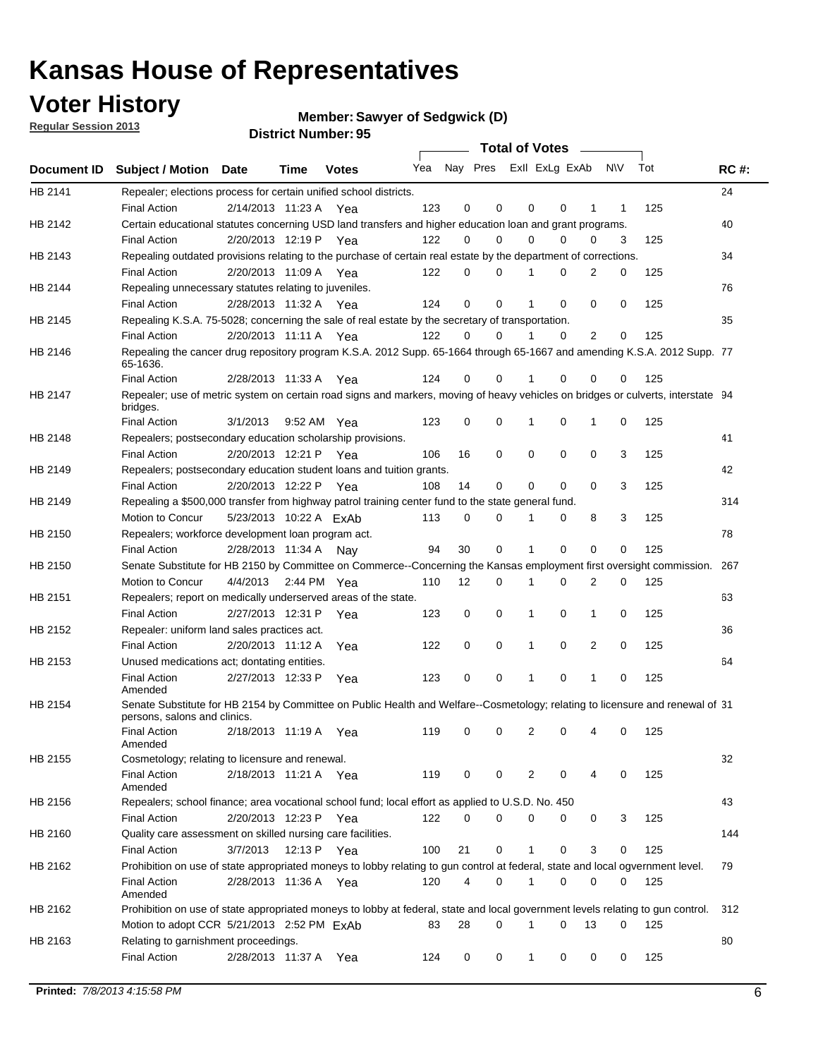**Voter History** 

**Member: Sawyer of Sedgwick (D)** 

**Regular Session 2013**

|         |                                                                                                                                              |          |                        |              |                             |    | <b>Total of Votes</b> |              |          | $\sim$         |     |     |             |
|---------|----------------------------------------------------------------------------------------------------------------------------------------------|----------|------------------------|--------------|-----------------------------|----|-----------------------|--------------|----------|----------------|-----|-----|-------------|
|         | Document ID Subject / Motion Date                                                                                                            |          | Time                   | <b>Votes</b> | Yea Nay Pres ExII ExLg ExAb |    |                       |              |          |                | N\V | Tot | <b>RC#:</b> |
| HB 2141 | Repealer; elections process for certain unified school districts.                                                                            |          |                        |              |                             |    |                       |              |          |                |     |     | 24          |
|         | <b>Final Action</b>                                                                                                                          |          | 2/14/2013 11:23 A      | Yea          | 123                         | 0  | 0                     | 0            | 0        | 1              | 1   | 125 |             |
| HB 2142 | Certain educational statutes concerning USD land transfers and higher education loan and grant programs.                                     |          |                        |              |                             |    |                       |              |          |                |     |     | 40          |
|         | <b>Final Action</b>                                                                                                                          |          | 2/20/2013 12:19 P      | Yea          | 122                         | 0  | 0                     | 0            | 0        | 0              | 3   | 125 |             |
| HB 2143 | Repealing outdated provisions relating to the purchase of certain real estate by the department of corrections.                              |          |                        |              |                             |    |                       |              |          |                |     |     | 34          |
|         | <b>Final Action</b>                                                                                                                          |          | 2/20/2013 11:09 A Yea  |              | 122                         | 0  | 0                     |              | 0        | $\overline{2}$ | 0   | 125 |             |
| HB 2144 | Repealing unnecessary statutes relating to juveniles.                                                                                        |          |                        |              |                             |    |                       |              |          |                |     |     | 76          |
|         | <b>Final Action</b>                                                                                                                          |          | 2/28/2013 11:32 A Yea  |              | 124                         | 0  | 0                     |              | 0        | 0              | 0   | 125 |             |
| HB 2145 | Repealing K.S.A. 75-5028; concerning the sale of real estate by the secretary of transportation.                                             |          |                        |              |                             |    |                       |              |          |                |     |     | 35          |
|         | <b>Final Action</b>                                                                                                                          |          | 2/20/2013 11:11 A Yea  |              | 122                         | 0  | 0                     |              | 0        | 2              | 0   | 125 |             |
| HB 2146 | Repealing the cancer drug repository program K.S.A. 2012 Supp. 65-1664 through 65-1667 and amending K.S.A. 2012 Supp. 77<br>65-1636.         |          |                        |              |                             |    |                       |              |          |                |     |     |             |
|         | <b>Final Action</b>                                                                                                                          |          | 2/28/2013 11:33 A      | Yea          | 124                         | 0  | 0                     |              | 0        | 0              | 0   | 125 |             |
| HB 2147 | Repealer; use of metric system on certain road signs and markers, moving of heavy vehicles on bridges or culverts, interstate 94<br>bridges. |          |                        |              |                             |    |                       |              |          |                |     |     |             |
|         | <b>Final Action</b>                                                                                                                          | 3/1/2013 |                        | 9:52 AM Yea  | 123                         | 0  | 0                     | 1            | 0        | 1              | 0   | 125 |             |
| HB 2148 | Repealers; postsecondary education scholarship provisions.                                                                                   |          |                        |              |                             |    |                       |              |          |                |     |     | 41          |
|         | <b>Final Action</b>                                                                                                                          |          | 2/20/2013 12:21 P Yea  |              | 106                         | 16 | 0                     | 0            | 0        | 0              | 3   | 125 |             |
| HB 2149 | Repealers; postsecondary education student loans and tuition grants.                                                                         |          |                        |              |                             |    |                       |              |          |                |     |     | 42          |
|         | <b>Final Action</b>                                                                                                                          |          | 2/20/2013 12:22 P      | Yea          | 108                         | 14 | 0                     | 0            | 0        | $\Omega$       | 3   | 125 |             |
| HB 2149 | Repealing a \$500,000 transfer from highway patrol training center fund to the state general fund.                                           |          |                        |              |                             |    |                       |              |          |                |     |     | 314         |
|         | Motion to Concur                                                                                                                             |          | 5/23/2013 10:22 A ExAb |              | 113                         | 0  | 0                     |              | 0        | 8              | 3   | 125 |             |
| HB 2150 | Repealers; workforce development loan program act.                                                                                           |          |                        |              |                             |    |                       |              |          |                |     |     | 78          |
|         | <b>Final Action</b>                                                                                                                          |          | 2/28/2013 11:34 A      | Nay          | 94                          | 30 | 0                     | 1            | 0        | $\mathbf 0$    | 0   | 125 |             |
| HB 2150 | Senate Substitute for HB 2150 by Committee on Commerce--Concerning the Kansas employment first oversight commission.                         |          |                        |              |                             |    |                       |              |          |                |     |     | 267         |
|         | Motion to Concur                                                                                                                             | 4/4/2013 |                        | 2:44 PM Yea  | 110                         | 12 | 0                     | 1            | 0        | 2              | 0   | 125 |             |
| HB 2151 | Repealers; report on medically underserved areas of the state.                                                                               |          |                        |              |                             |    |                       |              |          |                |     |     | 63          |
|         | <b>Final Action</b>                                                                                                                          |          | 2/27/2013 12:31 P      | Yea          | 123                         | 0  | 0                     | 1            | 0        | 1              | 0   | 125 |             |
| HB 2152 | Repealer: uniform land sales practices act.                                                                                                  |          |                        |              |                             |    |                       |              |          |                |     |     | 36          |
|         | <b>Final Action</b>                                                                                                                          |          | 2/20/2013 11:12 A      | Yea          | 122                         | 0  | 0                     | 1            | 0        | 2              | 0   | 125 |             |
| HB 2153 | Unused medications act; dontating entities.                                                                                                  |          |                        |              |                             |    |                       |              |          |                |     |     | 64          |
|         | <b>Final Action</b><br>Amended                                                                                                               |          | 2/27/2013 12:33 P      | Yea          | 123                         | 0  | 0                     |              | 0        | 1              | 0   | 125 |             |
| HB 2154 | Senate Substitute for HB 2154 by Committee on Public Health and Welfare--Cosmetology; relating to licensure and renewal of 31                |          |                        |              |                             |    |                       |              |          |                |     |     |             |
|         | persons, salons and clinics.                                                                                                                 |          |                        |              |                             |    |                       |              |          |                |     |     |             |
|         | <b>Final Action</b><br>Amended                                                                                                               |          | 2/18/2013 11:19 A      | Yea          | 119                         | 0  | 0                     | 2            | 0        |                | 0   | 125 |             |
| HB 2155 | Cosmetology; relating to licensure and renewal.                                                                                              |          |                        |              |                             |    |                       |              |          |                |     |     | 32          |
|         | <b>Final Action</b><br>Amended                                                                                                               |          | 2/18/2013 11:21 A Yea  |              | 119                         | 0  | 0                     | 2            | 0        | 4              | 0   | 125 |             |
| HB 2156 | Repealers; school finance; area vocational school fund; local effort as applied to U.S.D. No. 450                                            |          |                        |              |                             |    |                       |              |          |                |     |     | 43          |
|         | <b>Final Action</b>                                                                                                                          |          | 2/20/2013 12:23 P      | Yea          | 122                         | 0  | 0                     | 0            | 0        | 0              | 3   | 125 |             |
|         | Quality care assessment on skilled nursing care facilities.                                                                                  |          |                        |              |                             |    |                       |              |          |                |     |     | 144         |
| HB 2160 |                                                                                                                                              |          | 12:13 P                |              |                             |    | 0                     | $\mathbf{1}$ | 0        | 3              |     |     |             |
|         | <b>Final Action</b>                                                                                                                          | 3/7/2013 |                        | Yea          | 100                         | 21 |                       |              |          |                | 0   | 125 |             |
| HB 2162 | Prohibition on use of state appropriated moneys to lobby relating to gun control at federal, state and local ogvernment level.               |          |                        |              |                             |    |                       |              |          |                |     |     | 79          |
|         | <b>Final Action</b><br>Amended                                                                                                               |          | 2/28/2013 11:36 A Yea  |              | 120                         | 4  | 0                     | 1            | 0        | 0              | 0   | 125 |             |
| HB 2162 | Prohibition on use of state appropriated moneys to lobby at federal, state and local government levels relating to gun control.              |          |                        |              |                             |    |                       |              |          |                |     |     | 312         |
|         | Motion to adopt CCR 5/21/2013 2:52 PM ExAb                                                                                                   |          |                        |              | 83                          | 28 | 0                     | 1            | $\Omega$ | 13             | 0   | 125 |             |
| HB 2163 | Relating to garnishment proceedings.                                                                                                         |          |                        |              |                             |    |                       |              |          |                |     |     | 80          |
|         | <b>Final Action</b>                                                                                                                          |          | 2/28/2013 11:37 A Yea  |              | 124                         | 0  | 0                     | $\mathbf{1}$ | 0        | 0              | 0   | 125 |             |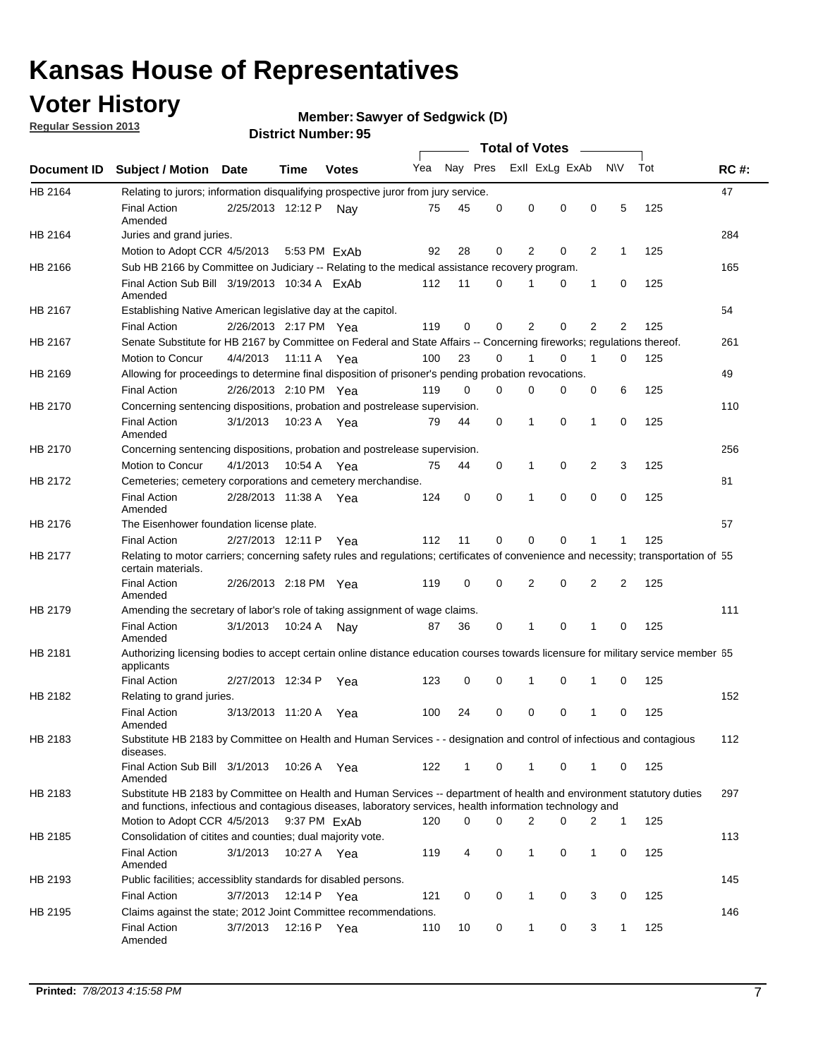### **Voter History**

**Member: Sawyer of Sedgwick (D)** 

**Regular Session 2013**

|             |                                                                                                                                                                                                                                    |                       |              | רי וסעוווטנו ועוווטכו |     |              |          | <b>Total of Votes</b> |          | $\overline{\phantom{a}}$ |              |     |             |
|-------------|------------------------------------------------------------------------------------------------------------------------------------------------------------------------------------------------------------------------------------|-----------------------|--------------|-----------------------|-----|--------------|----------|-----------------------|----------|--------------------------|--------------|-----|-------------|
| Document ID | <b>Subject / Motion Date</b>                                                                                                                                                                                                       |                       | <b>Time</b>  | <b>Votes</b>          | Yea | Nay Pres     |          | Exll ExLg ExAb        |          |                          | <b>NV</b>    | Tot | <b>RC#:</b> |
| HB 2164     | Relating to jurors; information disqualifying prospective juror from jury service.                                                                                                                                                 |                       |              |                       |     |              |          |                       |          |                          |              |     | 47          |
|             | <b>Final Action</b><br>Amended                                                                                                                                                                                                     | 2/25/2013 12:12 P     |              | Nay                   | 75  | 45           | 0        | 0                     | 0        | 0                        | 5            | 125 |             |
| HB 2164     | Juries and grand juries.                                                                                                                                                                                                           |                       |              |                       |     |              |          |                       |          |                          |              |     | 284         |
|             | Motion to Adopt CCR 4/5/2013                                                                                                                                                                                                       |                       | 5:53 PM ExAb |                       | 92  | 28           | 0        | 2                     | 0        | $\overline{2}$           | 1            | 125 |             |
| HB 2166     | Sub HB 2166 by Committee on Judiciary -- Relating to the medical assistance recovery program.                                                                                                                                      |                       |              |                       |     |              |          |                       |          |                          |              |     | 165         |
|             | Final Action Sub Bill 3/19/2013 10:34 A FxAb<br>Amended                                                                                                                                                                            |                       |              |                       | 112 | 11           | $\Omega$ | 1                     | 0        | 1                        | 0            | 125 |             |
| HB 2167     | Establishing Native American legislative day at the capitol.                                                                                                                                                                       |                       |              |                       |     |              |          |                       |          |                          |              |     | 54          |
|             | <b>Final Action</b>                                                                                                                                                                                                                | 2/26/2013 2:17 PM Yea |              |                       | 119 | 0            | 0        | 2                     | 0        | $\overline{2}$           | 2            | 125 |             |
| HB 2167     | Senate Substitute for HB 2167 by Committee on Federal and State Affairs -- Concerning fireworks; regulations thereof.                                                                                                              |                       |              |                       |     |              |          |                       |          |                          |              |     | 261         |
|             | Motion to Concur                                                                                                                                                                                                                   | 4/4/2013              | 11:11 A Yea  |                       | 100 | 23           | 0        | 1                     | 0        | 1                        | 0            | 125 |             |
| HB 2169     | Allowing for proceedings to determine final disposition of prisoner's pending probation revocations.                                                                                                                               |                       |              |                       |     |              |          |                       |          |                          |              |     | 49          |
|             | <b>Final Action</b>                                                                                                                                                                                                                | 2/26/2013 2:10 PM Yea |              |                       | 119 | 0            | $\Omega$ | 0                     | 0        | 0                        | 6            | 125 |             |
| HB 2170     | Concerning sentencing dispositions, probation and postrelease supervision.                                                                                                                                                         |                       |              |                       |     |              |          |                       |          |                          |              |     | 110         |
|             | <b>Final Action</b><br>Amended                                                                                                                                                                                                     | 3/1/2013              | 10:23 A Yea  |                       | 79  | 44           | 0        | 1                     | 0        | 1                        | 0            | 125 |             |
| HB 2170     | Concerning sentencing dispositions, probation and postrelease supervision.                                                                                                                                                         |                       |              |                       |     |              |          |                       |          |                          |              |     | 256         |
|             | Motion to Concur                                                                                                                                                                                                                   | 4/1/2013              | 10:54 A Yea  |                       | 75  | 44           | 0        | 1                     | 0        | $\overline{2}$           | 3            | 125 |             |
| HB 2172     | Cemeteries; cemetery corporations and cemetery merchandise.                                                                                                                                                                        |                       |              |                       |     |              |          |                       |          |                          |              |     | 81          |
|             | <b>Final Action</b><br>Amended                                                                                                                                                                                                     | 2/28/2013 11:38 A Yea |              |                       | 124 | 0            | 0        | 1                     | $\Omega$ | $\Omega$                 | 0            | 125 |             |
| HB 2176     | The Eisenhower foundation license plate.                                                                                                                                                                                           |                       |              |                       |     |              |          |                       |          |                          |              |     | 57          |
|             | <b>Final Action</b>                                                                                                                                                                                                                | 2/27/2013 12:11 P     |              | Yea                   | 112 | 11           | 0        | 0                     | 0        | 1                        | 1            | 125 |             |
| HB 2177     | Relating to motor carriers; concerning safety rules and regulations; certificates of convenience and necessity; transportation of 55<br>certain materials.                                                                         |                       |              |                       |     |              |          |                       |          |                          |              |     |             |
|             | <b>Final Action</b><br>Amended                                                                                                                                                                                                     | 2/26/2013 2:18 PM Yea |              |                       | 119 | 0            | 0        | 2                     | 0        | $\overline{2}$           | 2            | 125 |             |
| HB 2179     | Amending the secretary of labor's role of taking assignment of wage claims.                                                                                                                                                        |                       |              |                       |     |              |          |                       |          |                          |              |     | 111         |
|             | <b>Final Action</b><br>Amended                                                                                                                                                                                                     | 3/1/2013              | 10:24 A      | Nav                   | 87  | 36           | 0        | 1                     | 0        | 1                        | 0            | 125 |             |
| HB 2181     | Authorizing licensing bodies to accept certain online distance education courses towards licensure for military service member 55<br>applicants                                                                                    |                       |              |                       |     |              |          |                       |          |                          |              |     |             |
|             | <b>Final Action</b>                                                                                                                                                                                                                | 2/27/2013 12:34 P     |              | Yea                   | 123 | 0            | 0        | 1                     | 0        | 1                        | 0            | 125 |             |
| HB 2182     | Relating to grand juries.                                                                                                                                                                                                          |                       |              |                       |     |              |          |                       |          |                          |              |     | 152         |
|             | <b>Final Action</b><br>Amended                                                                                                                                                                                                     | 3/13/2013 11:20 A     |              | Yea                   | 100 | 24           | 0        | 0                     | 0        | 1                        | 0            | 125 |             |
| HB 2183     | Substitute HB 2183 by Committee on Health and Human Services - - designation and control of infectious and contagious<br>diseases.                                                                                                 |                       |              |                       |     |              |          |                       |          |                          |              |     | 112         |
|             | Final Action Sub Bill 3/1/2013<br>Amended                                                                                                                                                                                          |                       | 10:26 A Yea  |                       | 122 | $\mathbf{1}$ | 0        | 1                     | 0        | 1                        | 0            | 125 |             |
| HB 2183     | Substitute HB 2183 by Committee on Health and Human Services -- department of health and environment statutory duties<br>and functions, infectious and contagious diseases, laboratory services, health information technology and |                       |              |                       |     |              |          |                       |          |                          |              |     | 297         |
|             | Motion to Adopt CCR 4/5/2013                                                                                                                                                                                                       |                       | 9:37 PM ExAb |                       | 120 | 0            | 0        | 2                     | 0        | 2                        | 1            | 125 |             |
| HB 2185     | Consolidation of citites and counties; dual majority vote.                                                                                                                                                                         |                       |              |                       |     |              |          |                       |          |                          |              |     | 113         |
|             | <b>Final Action</b><br>Amended                                                                                                                                                                                                     | 3/1/2013              | 10:27 A Yea  |                       | 119 | 4            | 0        | 1                     | 0        | 1                        | 0            | 125 |             |
| HB 2193     | Public facilities; accessiblity standards for disabled persons.                                                                                                                                                                    |                       |              |                       |     |              |          |                       |          |                          |              |     | 145         |
|             | <b>Final Action</b>                                                                                                                                                                                                                | 3/7/2013              | 12:14 P      | Yea                   | 121 | 0            | 0        | 1                     | 0        | 3                        | 0            | 125 |             |
| HB 2195     | Claims against the state; 2012 Joint Committee recommendations.                                                                                                                                                                    |                       |              |                       |     |              |          |                       |          |                          |              |     | 146         |
|             | <b>Final Action</b><br>Amended                                                                                                                                                                                                     | 3/7/2013              | 12:16 P Yea  |                       | 110 | 10           | 0        | 1                     | 0        | 3                        | $\mathbf{1}$ | 125 |             |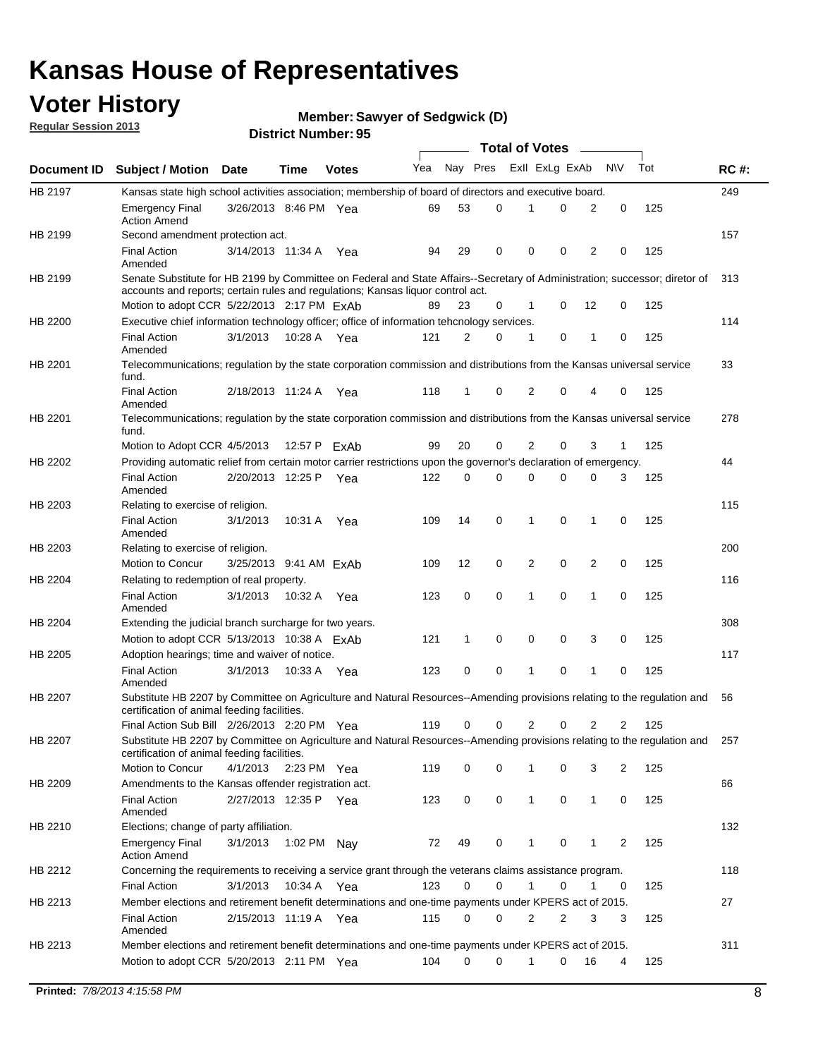### **Voter History**

**Member: Sawyer of Sedgwick (D)** 

**Regular Session 2013**

|             |                                                                                                                                                                             |                        |             |              |     |          |          | <b>Total of Votes</b> |   |              |            |     |             |
|-------------|-----------------------------------------------------------------------------------------------------------------------------------------------------------------------------|------------------------|-------------|--------------|-----|----------|----------|-----------------------|---|--------------|------------|-----|-------------|
| Document ID | <b>Subject / Motion Date</b>                                                                                                                                                |                        | Time        | <b>Votes</b> | Yea | Nay Pres |          | Exll ExLg ExAb        |   |              | <b>N/A</b> | Tot | <b>RC#:</b> |
| HB 2197     | Kansas state high school activities association; membership of board of directors and executive board.                                                                      |                        |             |              |     |          |          |                       |   |              |            |     | 249         |
|             | <b>Emergency Final</b><br><b>Action Amend</b>                                                                                                                               | 3/26/2013 8:46 PM Yea  |             |              | 69  | 53       | 0        |                       | 0 | 2            | 0          | 125 |             |
| HB 2199     | Second amendment protection act.                                                                                                                                            |                        |             |              |     |          |          |                       |   |              |            |     | 157         |
|             | <b>Final Action</b><br>Amended                                                                                                                                              | 3/14/2013 11:34 A      |             | Yea          | 94  | 29       | 0        | 0                     | 0 | 2            | 0          | 125 |             |
| HB 2199     | Senate Substitute for HB 2199 by Committee on Federal and State Affairs--Secretary of Administration; successor; diretor of                                                 |                        |             |              |     |          |          |                       |   |              |            |     | 313         |
|             | accounts and reports; certain rules and regulations; Kansas liguor control act.                                                                                             |                        |             |              |     |          |          |                       |   |              |            |     |             |
|             | Motion to adopt CCR 5/22/2013 2:17 PM ExAb                                                                                                                                  |                        |             |              | 89  | 23       | 0        | 1                     | 0 | 12           | 0          | 125 |             |
| HB 2200     | Executive chief information technology officer; office of information tehcnology services.                                                                                  |                        |             |              |     |          |          |                       |   |              |            |     | 114         |
|             | <b>Final Action</b><br>Amended                                                                                                                                              | 3/1/2013               | 10:28 A     | Yea          | 121 | 2        | 0        | 1                     | 0 | 1            | 0          | 125 |             |
| HB 2201     | Telecommunications; regulation by the state corporation commission and distributions from the Kansas universal service<br>fund.                                             |                        |             |              |     |          |          |                       |   |              |            |     | 33          |
|             | <b>Final Action</b><br>Amended                                                                                                                                              | 2/18/2013 11:24 A      |             | Yea          | 118 | 1        | 0        | 2                     | 0 | 4            | 0          | 125 |             |
| HB 2201     | Telecommunications; regulation by the state corporation commission and distributions from the Kansas universal service<br>fund.                                             |                        |             |              |     |          |          |                       |   |              |            |     | 278         |
|             | Motion to Adopt CCR 4/5/2013                                                                                                                                                |                        |             | 12:57 P ExAb | 99  | 20       | 0        | 2                     | 0 | 3            | 1          | 125 |             |
| HB 2202     | Providing automatic relief from certain motor carrier restrictions upon the governor's declaration of emergency.                                                            |                        |             |              |     |          |          |                       |   |              |            |     | 44          |
|             | <b>Final Action</b><br>Amended                                                                                                                                              | 2/20/2013 12:25 P      |             | Yea          | 122 | 0        | 0        | 0                     | 0 | 0            | 3          | 125 |             |
| HB 2203     | Relating to exercise of religion.                                                                                                                                           |                        |             |              |     |          |          |                       |   |              |            |     | 115         |
|             | <b>Final Action</b><br>Amended                                                                                                                                              | 3/1/2013               | 10:31 A     | Yea          | 109 | 14       | 0        | 1                     | 0 | 1            | 0          | 125 |             |
| HB 2203     | Relating to exercise of religion.                                                                                                                                           |                        |             |              |     |          |          |                       |   |              |            |     | 200         |
|             | Motion to Concur                                                                                                                                                            | 3/25/2013 9:41 AM ExAb |             |              | 109 | 12       | 0        | 2                     | 0 | 2            | 0          | 125 |             |
| HB 2204     | Relating to redemption of real property.                                                                                                                                    |                        |             |              |     |          |          |                       |   |              |            |     | 116         |
|             | <b>Final Action</b><br>Amended                                                                                                                                              | 3/1/2013               | 10:32 A     | Yea          | 123 | 0        | 0        | 1                     | 0 | 1            | 0          | 125 |             |
| HB 2204     | Extending the judicial branch surcharge for two years.                                                                                                                      |                        |             |              |     |          |          |                       |   |              |            |     | 308         |
|             | Motion to adopt CCR 5/13/2013 10:38 A ExAb                                                                                                                                  |                        |             |              | 121 | 1        | 0        | 0                     | 0 | 3            | 0          | 125 |             |
| HB 2205     | Adoption hearings; time and waiver of notice.                                                                                                                               |                        |             |              |     |          |          |                       |   |              |            |     | 117         |
|             | <b>Final Action</b><br>Amended                                                                                                                                              | 3/1/2013               | 10:33 A Yea |              | 123 | 0        | 0        | 1                     | 0 | 1            | 0          | 125 |             |
| HB 2207     | Substitute HB 2207 by Committee on Agriculture and Natural Resources--Amending provisions relating to the regulation and<br>certification of animal feeding facilities.     |                        |             |              |     |          |          |                       |   |              |            |     | 56          |
|             | Final Action Sub Bill 2/26/2013 2:20 PM Yea                                                                                                                                 |                        |             |              | 119 | 0        | 0        | 2                     | 0 | 2            | 2          | 125 |             |
| HB 2207     | Substitute HB 2207 by Committee on Agriculture and Natural Resources--Amending provisions relating to the regulation and 257<br>certification of animal feeding facilities. |                        |             |              |     |          |          |                       |   |              |            |     |             |
|             | Motion to Concur                                                                                                                                                            | 4/1/2013 2:23 PM Yea   |             |              | 119 | 0        | 0        | 1                     | 0 | 3            | 2          | 125 |             |
| HB 2209     | Amendments to the Kansas offender registration act.                                                                                                                         |                        |             |              |     |          |          |                       |   |              |            |     | 66          |
|             | <b>Final Action</b><br>Amended                                                                                                                                              | 2/27/2013 12:35 P Yea  |             |              | 123 | 0        | 0        | $\mathbf{1}$          | 0 | $\mathbf{1}$ | 0          | 125 |             |
| HB 2210     | Elections; change of party affiliation.                                                                                                                                     |                        |             |              |     |          |          |                       |   |              |            |     | 132         |
|             | <b>Emergency Final</b><br><b>Action Amend</b>                                                                                                                               | 3/1/2013               | 1:02 PM Nay |              | 72  | 49       | 0        |                       | 0 | 1            | 2          | 125 |             |
| HB 2212     | Concerning the requirements to receiving a service grant through the veterans claims assistance program.                                                                    |                        |             |              |     |          |          |                       |   |              |            |     | 118         |
|             | Final Action                                                                                                                                                                | 3/1/2013               | 10:34 A Yea |              | 123 | 0        | 0        | $\mathbf{1}$          | 0 | 1            | 0          | 125 |             |
| HB 2213     | Member elections and retirement benefit determinations and one-time payments under KPERS act of 2015.                                                                       |                        |             |              |     |          |          |                       |   |              |            |     | 27          |
|             | <b>Final Action</b><br>Amended                                                                                                                                              | 2/15/2013 11:19 A Yea  |             |              | 115 | 0        | 0        | 2                     | 2 | 3            | 3          | 125 |             |
| HB 2213     | Member elections and retirement benefit determinations and one-time payments under KPERS act of 2015.                                                                       |                        |             |              |     |          |          |                       |   |              |            |     | 311         |
|             | Motion to adopt CCR 5/20/2013 2:11 PM Yea                                                                                                                                   |                        |             |              | 104 | $\Omega$ | $\Omega$ | 1                     | 0 | 16           | 4          | 125 |             |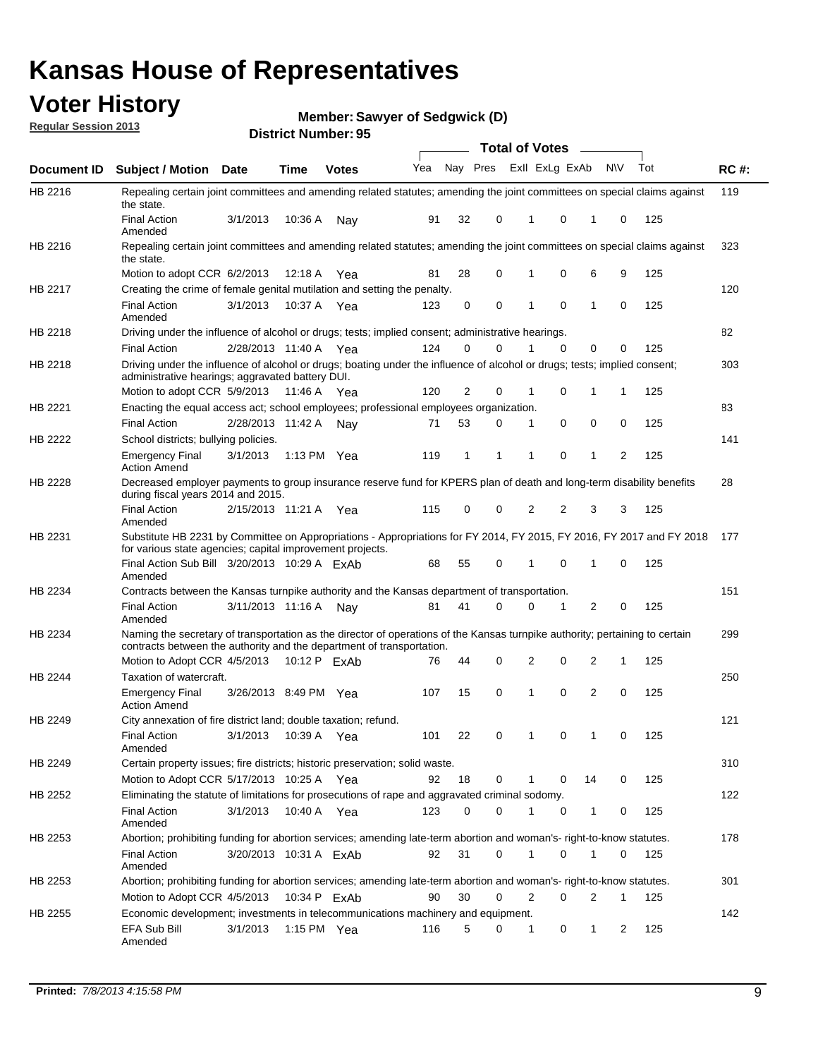### **Voter History**

**Member: Sawyer of Sedgwick (D)** 

**Regular Session 2013**

|                    |                                                                                                                                                                                                       |                        |         | טט וסטוווער ועוווסו |              |    |   | <b>Total of Votes</b> |          | $\sim$         |           |     |       |
|--------------------|-------------------------------------------------------------------------------------------------------------------------------------------------------------------------------------------------------|------------------------|---------|---------------------|--------------|----|---|-----------------------|----------|----------------|-----------|-----|-------|
| <b>Document ID</b> | <b>Subject / Motion Date</b>                                                                                                                                                                          |                        | Time    | <b>Votes</b>        | Yea Nay Pres |    |   | Exll ExLg ExAb        |          |                | <b>NV</b> | Tot | RC#   |
| HB 2216            | Repealing certain joint committees and amending related statutes; amending the joint committees on special claims against<br>the state.                                                               |                        |         |                     |              |    |   |                       |          |                |           |     | 119   |
|                    | <b>Final Action</b><br>Amended                                                                                                                                                                        | 3/1/2013               | 10:36 A | Nay                 | 91           | 32 | 0 | 1                     | 0        | 1              | 0         | 125 |       |
| HB 2216            | Repealing certain joint committees and amending related statutes; amending the joint committees on special claims against<br>the state.                                                               |                        |         |                     |              |    |   |                       |          |                |           |     | 323   |
|                    | Motion to adopt CCR 6/2/2013                                                                                                                                                                          |                        | 12:18 A | Yea                 | 81           | 28 | 0 | 1                     | 0        | 6              | 9         | 125 |       |
| HB 2217            | Creating the crime of female genital mutilation and setting the penalty.                                                                                                                              |                        |         |                     |              |    |   |                       |          |                |           |     | 120   |
|                    | <b>Final Action</b><br>Amended                                                                                                                                                                        | 3/1/2013               |         | 10:37 A Yea         | 123          | 0  | 0 | 1                     | 0        | $\mathbf{1}$   | 0         | 125 |       |
| HB 2218            | Driving under the influence of alcohol or drugs; tests; implied consent; administrative hearings.                                                                                                     |                        |         |                     |              |    |   |                       |          |                |           |     | 82    |
|                    | <b>Final Action</b>                                                                                                                                                                                   | 2/28/2013 11:40 A Yea  |         |                     | 124          | 0  | 0 |                       | $\Omega$ | 0              | 0         | 125 |       |
| HB 2218            | Driving under the influence of alcohol or drugs; boating under the influence of alcohol or drugs; tests; implied consent;<br>administrative hearings; aggravated battery DUI.                         |                        |         |                     |              |    |   |                       |          |                |           |     | 303   |
|                    | Motion to adopt CCR 5/9/2013                                                                                                                                                                          |                        | 11:46 A | Yea                 | 120          | 2  | 0 | 1                     | 0        | 1              | 1         | 125 |       |
| HB 2221            | Enacting the equal access act; school employees; professional employees organization.                                                                                                                 |                        |         |                     |              |    |   |                       |          |                |           |     | 83    |
|                    | <b>Final Action</b>                                                                                                                                                                                   | 2/28/2013 11:42 A      |         | Nav                 | 71           | 53 | 0 | 1                     | 0        | 0              | 0         | 125 |       |
| HB 2222            | School districts; bullying policies.                                                                                                                                                                  |                        |         |                     |              |    |   |                       |          |                |           |     | 141   |
|                    | <b>Emergency Final</b><br><b>Action Amend</b>                                                                                                                                                         | 3/1/2013               |         | 1:13 PM $Yea$       | 119          | 1  | 1 | 1                     | 0        | 1              | 2         | 125 |       |
| HB 2228            | Decreased employer payments to group insurance reserve fund for KPERS plan of death and long-term disability benefits<br>during fiscal years 2014 and 2015.                                           |                        |         |                     |              |    |   |                       |          |                |           |     | 28    |
|                    | <b>Final Action</b><br>Amended                                                                                                                                                                        | 2/15/2013 11:21 A Yea  |         |                     | 115          | 0  | 0 | 2                     | 2        | 3              | 3         | 125 |       |
| HB 2231            | Substitute HB 2231 by Committee on Appropriations - Appropriations for FY 2014, FY 2015, FY 2016, FY 2017 and FY 2018<br>for various state agencies; capital improvement projects.                    |                        |         |                     |              |    |   |                       |          |                |           |     | - 177 |
|                    | Final Action Sub Bill 3/20/2013 10:29 A ExAb<br>Amended                                                                                                                                               |                        |         |                     | 68           | 55 | 0 |                       | 0        | 1              | 0         | 125 |       |
| HB 2234            | Contracts between the Kansas turnpike authority and the Kansas department of transportation.                                                                                                          |                        |         |                     |              |    |   |                       |          |                |           |     | 151   |
|                    | <b>Final Action</b><br>Amended                                                                                                                                                                        | 3/11/2013 11:16 A Nay  |         |                     | 81           | 41 | 0 | 0                     | 1        | $\overline{2}$ | 0         | 125 |       |
| HB 2234            | Naming the secretary of transportation as the director of operations of the Kansas turnpike authority; pertaining to certain<br>contracts between the authority and the department of transportation. |                        |         |                     |              |    |   |                       |          |                |           |     | 299   |
|                    | Motion to Adopt CCR 4/5/2013                                                                                                                                                                          |                        |         | 10:12 P ExAb        | 76           | 44 | 0 | 2                     | 0        | 2              | 1         | 125 |       |
| <b>HB 2244</b>     | Taxation of watercraft.<br><b>Emergency Final</b>                                                                                                                                                     | 3/26/2013 8:49 PM Yea  |         |                     | 107          | 15 | 0 | 1                     | 0        | 2              | 0         | 125 | 250   |
|                    | <b>Action Amend</b>                                                                                                                                                                                   |                        |         |                     |              |    |   |                       |          |                |           |     |       |
| HB 2249            | City annexation of fire district land; double taxation; refund.                                                                                                                                       |                        |         |                     |              |    |   |                       |          |                |           |     | 121   |
|                    | Final Action 3/1/2013 10:39 A Yea<br>Amended                                                                                                                                                          |                        |         |                     | 101          | 22 | 0 | $\mathbf{1}$          | 0        | $\mathbf{1}$   | 0         | 125 |       |
| HB 2249            | Certain property issues; fire districts; historic preservation; solid waste.                                                                                                                          |                        |         |                     |              |    |   |                       |          |                |           |     | 310   |
|                    | Motion to Adopt CCR 5/17/2013 10:25 A Yea                                                                                                                                                             |                        |         |                     | 92           | 18 | 0 | 1                     | 0        | 14             | 0         | 125 |       |
| HB 2252            | Eliminating the statute of limitations for prosecutions of rape and aggravated criminal sodomy.                                                                                                       |                        |         |                     |              |    |   |                       |          |                |           |     | 122   |
|                    | <b>Final Action</b><br>Amended                                                                                                                                                                        | 3/1/2013               |         | 10:40 A Yea         | 123          | 0  | 0 |                       | 0        | 1              | 0         | 125 |       |
| HB 2253            | Abortion; prohibiting funding for abortion services; amending late-term abortion and woman's- right-to-know statutes.                                                                                 |                        |         |                     |              |    |   |                       |          |                |           |     | 178   |
|                    | <b>Final Action</b><br>Amended                                                                                                                                                                        | 3/20/2013 10:31 A ExAb |         |                     | 92           | 31 | 0 | 1                     | 0        | 1              | 0         | 125 |       |
| HB 2253            | Abortion; prohibiting funding for abortion services; amending late-term abortion and woman's- right-to-know statutes.                                                                                 |                        |         |                     |              |    |   |                       |          |                |           |     | 301   |
|                    | Motion to Adopt CCR 4/5/2013                                                                                                                                                                          |                        |         | 10:34 P ExAb        | 90           | 30 | 0 | 2                     | 0        | 2              | 1         | 125 |       |
| HB 2255            | Economic development; investments in telecommunications machinery and equipment.                                                                                                                      |                        |         |                     |              |    |   |                       |          |                |           |     | 142   |
|                    | EFA Sub Bill<br>Amended                                                                                                                                                                               | 3/1/2013               |         | 1:15 PM $Yea$       | 116          | 5  | 0 | -1                    | 0        | 1              | 2         | 125 |       |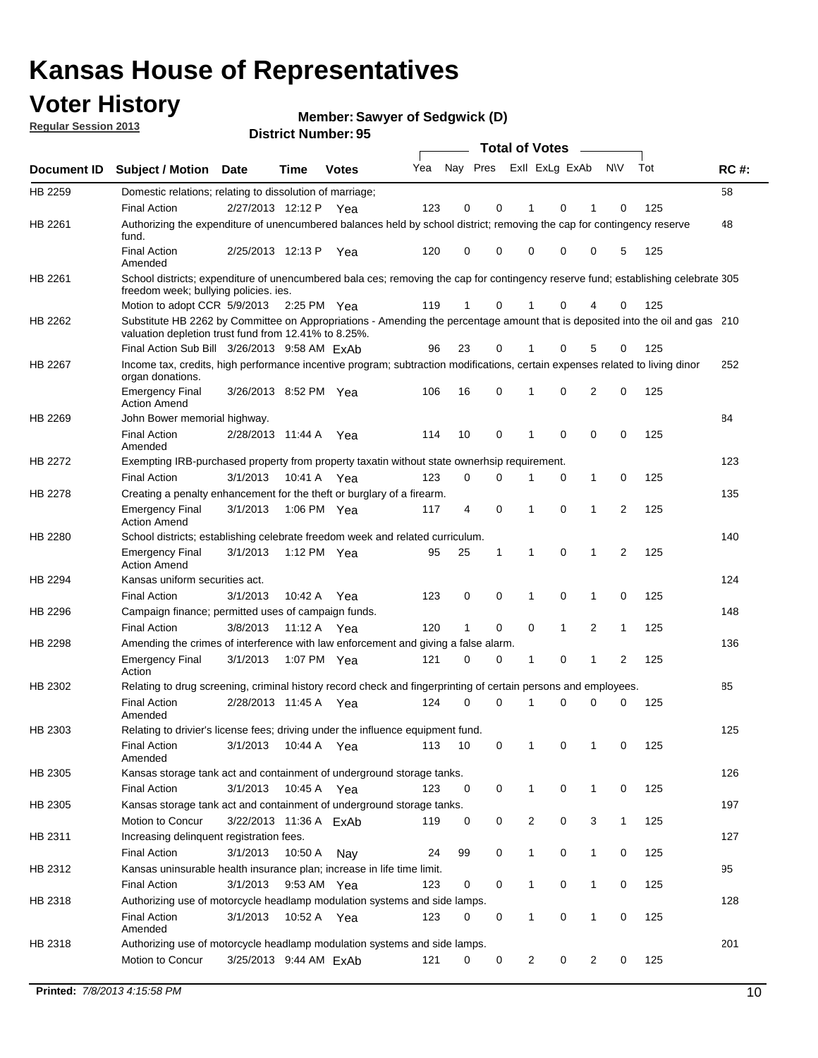### **Voter History**

**Member: Sawyer of Sedgwick (D)** 

**Regular Session 2013**

|                    |                                                                                                                                                                                       |                        | טט . וסעווואזו וטווע |              |     |                         |             | <b>Total of Votes</b> |              | $\sim$         |              |     |             |
|--------------------|---------------------------------------------------------------------------------------------------------------------------------------------------------------------------------------|------------------------|----------------------|--------------|-----|-------------------------|-------------|-----------------------|--------------|----------------|--------------|-----|-------------|
| <b>Document ID</b> | <b>Subject / Motion</b>                                                                                                                                                               | Date                   | Time                 | <b>Votes</b> | Yea | Nay Pres Exll ExLg ExAb |             |                       |              |                | N\V          | Tot | <b>RC#:</b> |
| HB 2259            | Domestic relations; relating to dissolution of marriage;                                                                                                                              |                        |                      |              |     |                         |             |                       |              |                |              |     | 58          |
|                    | <b>Final Action</b>                                                                                                                                                                   | 2/27/2013 12:12 P      |                      | Yea          | 123 | 0                       | 0           | 1                     | 0            | 1              | $\Omega$     | 125 |             |
| HB 2261            | Authorizing the expenditure of unencumbered balances held by school district; removing the cap for contingency reserve<br>fund.                                                       |                        |                      |              |     |                         |             |                       |              |                |              |     | 48          |
|                    | <b>Final Action</b><br>Amended                                                                                                                                                        | 2/25/2013 12:13 P      |                      | Yea          | 120 | 0                       | 0           | 0                     | 0            | 0              | 5            | 125 |             |
| HB 2261            | School districts; expenditure of unencumbered bala ces; removing the cap for contingency reserve fund; establishing celebrate 305<br>freedom week; bullying policies. ies.            |                        |                      |              |     |                         |             |                       |              |                |              |     |             |
|                    | Motion to adopt CCR 5/9/2013                                                                                                                                                          |                        | 2:25 PM Yea          |              | 119 | 1                       | 0           |                       | 0            | 4              | 0            | 125 |             |
| HB 2262            | Substitute HB 2262 by Committee on Appropriations - Amending the percentage amount that is deposited into the oil and gas 210<br>valuation depletion trust fund from 12.41% to 8.25%. |                        |                      |              |     |                         |             |                       |              |                |              |     |             |
|                    | Final Action Sub Bill 3/26/2013 9:58 AM ExAb                                                                                                                                          |                        |                      |              | 96  | 23                      | 0           |                       | 0            | 5              | 0            | 125 |             |
| HB 2267            | Income tax, credits, high performance incentive program; subtraction modifications, certain expenses related to living dinor<br>organ donations.                                      |                        |                      |              |     |                         |             |                       |              |                |              |     | 252         |
|                    | <b>Emergency Final</b><br><b>Action Amend</b>                                                                                                                                         | 3/26/2013 8:52 PM Yea  |                      |              | 106 | 16                      | 0           | 1                     | 0            | $\overline{2}$ | 0            | 125 |             |
| HB 2269            | John Bower memorial highway.                                                                                                                                                          |                        |                      |              |     |                         |             |                       |              |                |              |     | 84          |
|                    | <b>Final Action</b><br>Amended                                                                                                                                                        | 2/28/2013 11:44 A Yea  |                      |              | 114 | 10                      | 0           | 1                     | 0            | 0              | 0            | 125 |             |
| HB 2272            | Exempting IRB-purchased property from property taxatin without state ownerhsip requirement.                                                                                           |                        |                      |              |     |                         |             |                       |              |                |              |     | 123         |
|                    | <b>Final Action</b>                                                                                                                                                                   | 3/1/2013               | 10:41 A Yea          |              | 123 | 0                       | 0           | 1                     | 0            | $\mathbf{1}$   | 0            | 125 |             |
| HB 2278            | Creating a penalty enhancement for the theft or burglary of a firearm.                                                                                                                |                        |                      |              |     |                         |             |                       |              |                |              |     | 135         |
|                    | <b>Emergency Final</b><br><b>Action Amend</b>                                                                                                                                         | 3/1/2013               | 1:06 PM Yea          |              | 117 | 4                       | $\mathbf 0$ | $\mathbf 1$           | $\Omega$     | 1              | 2            | 125 |             |
| HB 2280            | School districts; establishing celebrate freedom week and related curriculum.                                                                                                         |                        |                      |              |     |                         |             |                       |              |                |              |     | 140         |
|                    | <b>Emergency Final</b><br><b>Action Amend</b>                                                                                                                                         | 3/1/2013               | 1:12 PM Yea          |              | 95  | 25                      | 1           | 1                     | 0            | 1              | 2            | 125 |             |
| HB 2294            | Kansas uniform securities act.                                                                                                                                                        |                        |                      |              |     |                         |             |                       |              |                |              |     | 124         |
|                    | <b>Final Action</b>                                                                                                                                                                   | 3/1/2013               | 10:42 A Yea          |              | 123 | 0                       | 0           | 1                     | $\mathbf 0$  | 1              | 0            | 125 |             |
| HB 2296            | Campaign finance; permitted uses of campaign funds.                                                                                                                                   |                        |                      |              |     |                         |             |                       |              |                |              |     | 148         |
|                    | <b>Final Action</b>                                                                                                                                                                   | 3/8/2013               | 11:12 A Yea          |              | 120 | $\mathbf{1}$            | 0           | 0                     | $\mathbf{1}$ | $\overline{2}$ | $\mathbf{1}$ | 125 |             |
| HB 2298            | Amending the crimes of interference with law enforcement and giving a false alarm.                                                                                                    |                        |                      |              |     |                         |             |                       |              |                |              |     | 136         |
|                    | <b>Emergency Final</b><br>Action                                                                                                                                                      | 3/1/2013               | 1:07 PM Yea          |              | 121 | 0                       | 0           | 1                     | 0            | $\mathbf{1}$   | 2            | 125 |             |
| HB 2302            | Relating to drug screening, criminal history record check and fingerprinting of certain persons and employees.                                                                        |                        |                      |              |     |                         |             |                       |              |                |              |     | 85          |
|                    | <b>Final Action</b><br>Amended                                                                                                                                                        | 2/28/2013 11:45 A Yea  |                      |              | 124 | 0                       | $\Omega$    | 1                     | 0            | 0              | $\mathbf 0$  | 125 |             |
| HB 2303            | Relating to drivier's license fees; driving under the influence equipment fund.                                                                                                       |                        |                      |              |     |                         |             |                       |              |                |              |     | 125         |
|                    | <b>Final Action</b><br>Amended                                                                                                                                                        | 3/1/2013               | 10:44 A              | Yea          | 113 | 10                      | 0           | $\mathbf 1$           | 0            | 1              | 0            | 125 |             |
| HB 2305            | Kansas storage tank act and containment of underground storage tanks.                                                                                                                 |                        |                      |              |     |                         |             |                       |              |                |              |     | 126         |
|                    | <b>Final Action</b>                                                                                                                                                                   | 3/1/2013               | 10:45 A              | Yea          | 123 | 0                       | 0           | 1                     | 0            | $\mathbf{1}$   | 0            | 125 |             |
| HB 2305            | Kansas storage tank act and containment of underground storage tanks.                                                                                                                 |                        |                      |              |     |                         |             |                       |              |                |              |     | 197         |
|                    | Motion to Concur                                                                                                                                                                      | 3/22/2013 11:36 A ExAb |                      |              | 119 | 0                       | 0           | 2                     | 0            | 3              | $\mathbf{1}$ | 125 |             |
| HB 2311            | Increasing delinquent registration fees.                                                                                                                                              |                        |                      |              |     |                         |             |                       |              |                |              |     | 127         |
|                    | <b>Final Action</b>                                                                                                                                                                   | 3/1/2013               | 10:50 A              | Nay          | 24  | 99                      | 0           | $\mathbf{1}$          | 0            | $\mathbf{1}$   | 0            | 125 |             |
| HB 2312            | Kansas uninsurable health insurance plan; increase in life time limit.                                                                                                                |                        |                      |              |     |                         |             |                       |              |                |              |     | 95          |
|                    | <b>Final Action</b>                                                                                                                                                                   | 3/1/2013               | 9:53 AM Yea          |              | 123 | 0                       | 0           | 1                     | 0            | 1              | 0            | 125 |             |
| HB 2318            | Authorizing use of motorcycle headlamp modulation systems and side lamps.                                                                                                             |                        |                      |              |     |                         |             |                       |              |                |              |     | 128         |
|                    | <b>Final Action</b><br>Amended                                                                                                                                                        | 3/1/2013               | 10:52 A Yea          |              | 123 | 0                       | 0           | 1                     | 0            | 1              | 0            | 125 |             |
| HB 2318            | Authorizing use of motorcycle headlamp modulation systems and side lamps.                                                                                                             |                        |                      |              |     |                         |             |                       |              |                |              |     | 201         |
|                    | Motion to Concur                                                                                                                                                                      | 3/25/2013 9:44 AM ExAb |                      |              | 121 | 0                       | 0           | 2                     | 0            | $\overline{2}$ | 0            | 125 |             |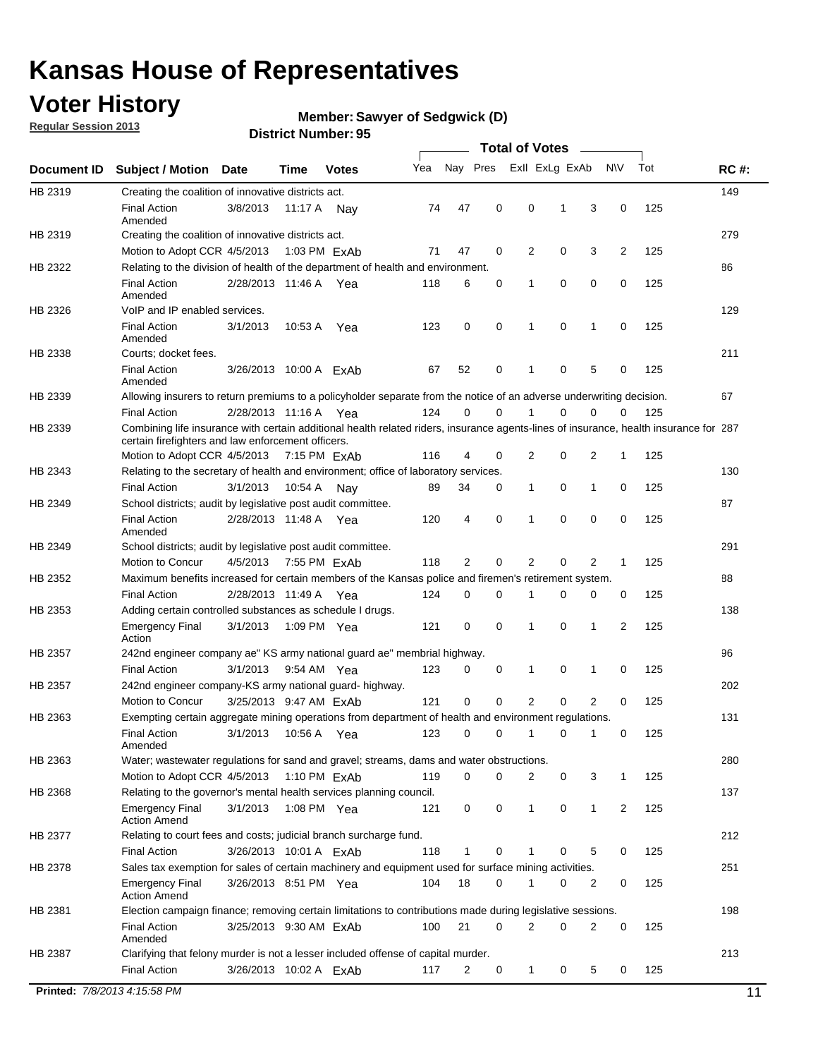### **Voter History**

**Member: Sawyer of Sedgwick (D)** 

**Regular Session 2013**

|             |                                                                                                                                                                                             |                        |                        |              |     |             |             | <b>Total of Votes</b> |   |                |           |     |             |
|-------------|---------------------------------------------------------------------------------------------------------------------------------------------------------------------------------------------|------------------------|------------------------|--------------|-----|-------------|-------------|-----------------------|---|----------------|-----------|-----|-------------|
| Document ID | <b>Subject / Motion</b>                                                                                                                                                                     | <b>Date</b>            | Time                   | <b>Votes</b> | Yea | Nay Pres    |             | Exll ExLg ExAb        |   |                | <b>NV</b> | Tot | <b>RC#:</b> |
| HB 2319     | Creating the coalition of innovative districts act.                                                                                                                                         |                        |                        |              |     |             |             |                       |   |                |           |     | 149         |
|             | <b>Final Action</b><br>Amended                                                                                                                                                              | 3/8/2013               | 11:17 A                | Nav          | 74  | 47          | 0           | 0                     | 1 | 3              | 0         | 125 |             |
| HB 2319     | Creating the coalition of innovative districts act.                                                                                                                                         |                        |                        |              |     |             |             |                       |   |                |           |     | 279         |
|             | Motion to Adopt CCR 4/5/2013                                                                                                                                                                |                        |                        | 1:03 PM ExAb | 71  | 47          | 0           | 2                     | 0 | 3              | 2         | 125 |             |
| HB 2322     | Relating to the division of health of the department of health and environment.                                                                                                             |                        |                        |              |     |             |             |                       |   |                |           |     | 86          |
|             | <b>Final Action</b><br>Amended                                                                                                                                                              | 2/28/2013 11:46 A Yea  |                        |              | 118 | 6           | 0           | 1                     | 0 | 0              | 0         | 125 |             |
| HB 2326     | VoIP and IP enabled services.                                                                                                                                                               |                        |                        |              |     |             |             |                       |   |                |           |     | 129         |
|             | <b>Final Action</b><br>Amended                                                                                                                                                              | 3/1/2013               | 10:53 A                | Yea          | 123 | $\mathbf 0$ | 0           | $\mathbf{1}$          | 0 | 1              | 0         | 125 |             |
| HB 2338     | Courts; docket fees.                                                                                                                                                                        |                        |                        |              |     |             |             |                       |   |                |           |     | 211         |
|             | <b>Final Action</b><br>Amended                                                                                                                                                              | 3/26/2013 10:00 A ExAb |                        |              | 67  | 52          | 0           | $\mathbf 1$           | 0 | 5              | 0         | 125 |             |
| HB 2339     | Allowing insurers to return premiums to a policyholder separate from the notice of an adverse underwriting decision.                                                                        |                        |                        |              |     |             |             |                       |   |                |           |     | 67          |
|             | <b>Final Action</b>                                                                                                                                                                         | 2/28/2013 11:16 A Yea  |                        |              | 124 | 0           | 0           |                       | 0 | 0              | 0         | 125 |             |
| HB 2339     | Combining life insurance with certain additional health related riders, insurance agents-lines of insurance, health insurance for 287<br>certain firefighters and law enforcement officers. |                        |                        |              |     |             |             |                       |   |                |           |     |             |
|             | Motion to Adopt CCR 4/5/2013 7:15 PM FxAb                                                                                                                                                   |                        |                        |              | 116 | 4           | 0           | 2                     | 0 | 2              | -1        | 125 |             |
| HB 2343     | Relating to the secretary of health and environment; office of laboratory services.                                                                                                         |                        |                        |              |     |             |             |                       |   |                |           |     | 130         |
|             | <b>Final Action</b>                                                                                                                                                                         | 3/1/2013               | 10:54 A Nay            |              | 89  | 34          | 0           | 1                     | 0 | $\mathbf{1}$   | 0         | 125 |             |
| HB 2349     | School districts; audit by legislative post audit committee.                                                                                                                                |                        |                        |              |     |             |             |                       |   |                |           |     | 87          |
|             | <b>Final Action</b><br>Amended                                                                                                                                                              | 2/28/2013 11:48 A Yea  |                        |              | 120 | 4           | $\mathbf 0$ | $\mathbf{1}$          | 0 | $\mathbf 0$    | 0         | 125 |             |
| HB 2349     | School districts; audit by legislative post audit committee.                                                                                                                                |                        |                        |              |     |             |             |                       |   |                |           |     | 291         |
|             | Motion to Concur                                                                                                                                                                            | 4/5/2013               |                        | 7:55 PM ExAb | 118 | 2           | 0           | 2                     | 0 | 2              | 1         | 125 |             |
| HB 2352     | Maximum benefits increased for certain members of the Kansas police and firemen's retirement system.                                                                                        |                        |                        |              |     |             |             |                       |   |                |           |     | 88          |
|             | <b>Final Action</b>                                                                                                                                                                         | 2/28/2013 11:49 A      |                        | Yea          | 124 | 0           | 0           | 1                     | 0 | 0              | 0         | 125 |             |
| HB 2353     | Adding certain controlled substances as schedule I drugs.                                                                                                                                   |                        |                        |              |     |             |             |                       |   |                |           |     | 138         |
|             | Emergency Final<br>Action                                                                                                                                                                   | 3/1/2013               | 1:09 PM Yea            |              | 121 | 0           | 0           | $\mathbf{1}$          | 0 | 1              | 2         | 125 |             |
| HB 2357     | 242nd engineer company ae" KS army national guard ae" membrial highway.                                                                                                                     |                        |                        |              |     |             |             |                       |   |                |           |     | 96          |
|             | <b>Final Action</b>                                                                                                                                                                         | 3/1/2013               | 9:54 AM Yea            |              | 123 | 0           | 0           | 1                     | 0 | 1              | 0         | 125 |             |
| HB 2357     | 242nd engineer company-KS army national guard- highway.                                                                                                                                     |                        |                        |              |     |             |             |                       |   |                |           |     | 202         |
|             | Motion to Concur                                                                                                                                                                            | 3/25/2013 9:47 AM ExAb |                        |              | 121 | $\mathbf 0$ | $\mathbf 0$ | 2                     | 0 | $\overline{2}$ | 0         | 125 |             |
| HB 2363     | Exempting certain aggregate mining operations from department of health and environment regulations.                                                                                        |                        |                        |              |     |             |             |                       |   |                |           |     | 131         |
|             | <b>Final Action</b><br>Amended                                                                                                                                                              | 3/1/2013               | 10:56 A Yea            |              | 123 | 0           | 0           | 1                     | 0 | 1              | 0         | 125 |             |
| HB 2363     | Water; wastewater regulations for sand and gravel; streams, dams and water obstructions.                                                                                                    |                        |                        |              |     |             |             |                       |   |                |           |     | 280         |
|             | Motion to Adopt CCR 4/5/2013                                                                                                                                                                |                        |                        | 1:10 PM ExAb | 119 | 0           | 0           | 2                     | 0 | 3              | 1         | 125 |             |
| HB 2368     | Relating to the governor's mental health services planning council.<br>Emergency Final                                                                                                      | 3/1/2013               | 1:08 PM Yea            |              | 121 | 0           | 0           | 1                     | 0 | $\mathbf{1}$   | 2         | 125 | 137         |
|             | <b>Action Amend</b>                                                                                                                                                                         |                        |                        |              |     |             |             |                       |   |                |           |     |             |
| HB 2377     | Relating to court fees and costs; judicial branch surcharge fund.                                                                                                                           |                        |                        |              |     |             |             |                       |   |                |           |     | 212         |
|             | Final Action                                                                                                                                                                                | 3/26/2013 10:01 A ExAb |                        |              | 118 | 1           | 0           |                       | 0 | 5              | 0         | 125 |             |
| HB 2378     | Sales tax exemption for sales of certain machinery and equipment used for surface mining activities.<br><b>Emergency Final</b>                                                              | 3/26/2013 8:51 PM Yea  |                        |              | 104 | 18          | 0           | 1                     | 0 | 2              | 0         | 125 | 251         |
| HB 2381     | <b>Action Amend</b><br>Election campaign finance; removing certain limitations to contributions made during legislative sessions.                                                           |                        |                        |              |     |             |             |                       |   |                |           |     | 198         |
|             | <b>Final Action</b>                                                                                                                                                                         | 3/25/2013 9:30 AM ExAb |                        |              | 100 | 21          | 0           | 2                     | 0 | $\overline{2}$ | 0         | 125 |             |
|             | Amended                                                                                                                                                                                     |                        |                        |              |     |             |             |                       |   |                |           |     |             |
| HB 2387     | Clarifying that felony murder is not a lesser included offense of capital murder.                                                                                                           |                        |                        |              |     |             |             |                       |   |                |           |     | 213         |
|             | <b>Final Action</b>                                                                                                                                                                         |                        | 3/26/2013 10:02 A ExAb |              | 117 | 2           | 0           | 1                     | 0 | 5              | 0         | 125 |             |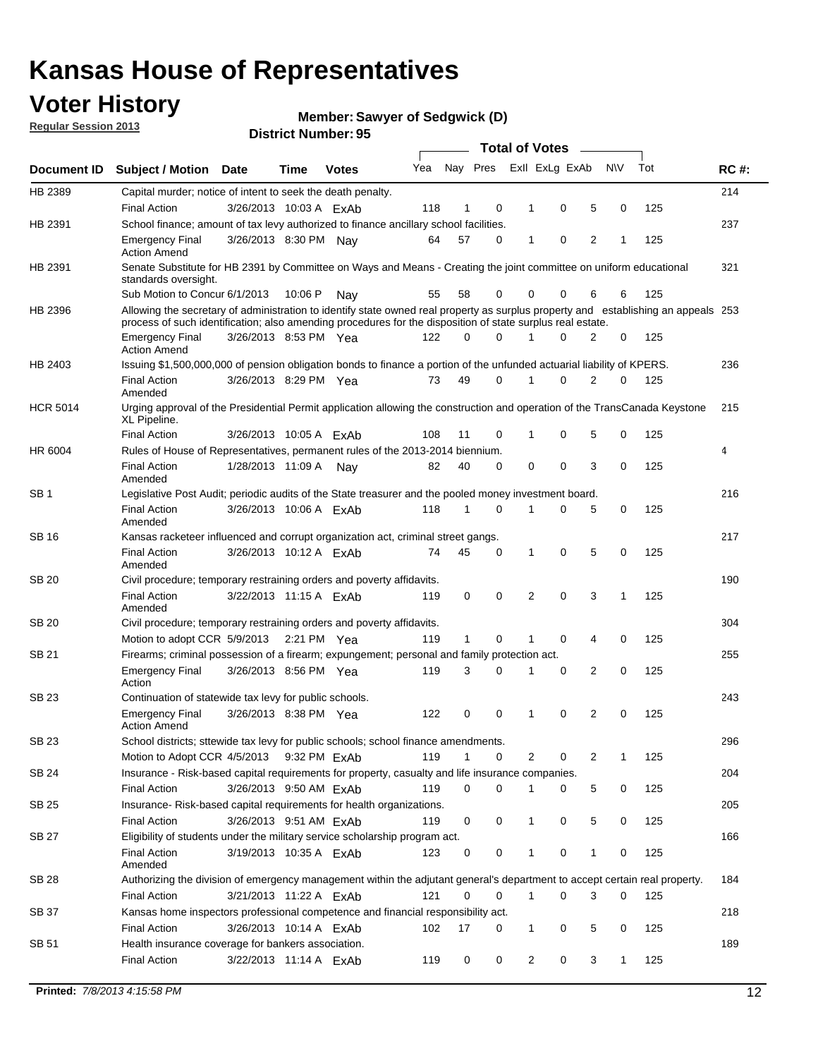### **Voter History**

**Member: Sawyer of Sedgwick (D)** 

**Regular Session 2013**

|                 |                                                                                                                                                                                                                                                  |                        |             |              |     |              |          | <b>Total of Votes</b> |   |   |              |     |             |
|-----------------|--------------------------------------------------------------------------------------------------------------------------------------------------------------------------------------------------------------------------------------------------|------------------------|-------------|--------------|-----|--------------|----------|-----------------------|---|---|--------------|-----|-------------|
| Document ID     | Subject / Motion Date                                                                                                                                                                                                                            |                        | Time        | <b>Votes</b> | Yea | Nay Pres     |          | Exll ExLg ExAb        |   |   | <b>NV</b>    | Tot | <b>RC#:</b> |
| HB 2389         | Capital murder; notice of intent to seek the death penalty.                                                                                                                                                                                      |                        |             |              |     |              |          |                       |   |   |              |     | 214         |
|                 | <b>Final Action</b>                                                                                                                                                                                                                              | 3/26/2013 10:03 A ExAb |             |              | 118 | 1            | 0        | 1                     | 0 | 5 | 0            | 125 |             |
| HB 2391         | School finance; amount of tax levy authorized to finance ancillary school facilities.                                                                                                                                                            |                        |             |              |     |              |          |                       |   |   |              |     | 237         |
|                 | <b>Emergency Final</b><br><b>Action Amend</b>                                                                                                                                                                                                    | 3/26/2013 8:30 PM Nay  |             |              | 64  | 57           | 0        | $\mathbf{1}$          | 0 | 2 | 1            | 125 |             |
| HB 2391         | Senate Substitute for HB 2391 by Committee on Ways and Means - Creating the joint committee on uniform educational<br>standards oversight.                                                                                                       |                        |             |              |     |              |          |                       |   |   |              |     | 321         |
|                 | Sub Motion to Concur 6/1/2013                                                                                                                                                                                                                    |                        | 10:06 P     | Nav          | 55  | 58           | 0        | 0                     | 0 | 6 | 6            | 125 |             |
| HB 2396         | Allowing the secretary of administration to identify state owned real property as surplus property and establishing an appeals 253<br>process of such identification; also amending procedures for the disposition of state surplus real estate. |                        |             |              |     |              |          |                       |   |   |              |     |             |
|                 | <b>Emergency Final</b><br>Action Amend                                                                                                                                                                                                           | 3/26/2013 8:53 PM Yea  |             |              | 122 | 0            | 0        |                       | 0 | 2 | 0            | 125 |             |
| HB 2403         | Issuing \$1,500,000,000 of pension obligation bonds to finance a portion of the unfunded actuarial liability of KPERS.                                                                                                                           |                        |             |              |     |              |          |                       |   |   |              |     | 236         |
|                 | <b>Final Action</b><br>Amended                                                                                                                                                                                                                   | 3/26/2013 8:29 PM Yea  |             |              | 73  | 49           | 0        | 1                     | 0 | 2 | 0            | 125 |             |
| <b>HCR 5014</b> | Urging approval of the Presidential Permit application allowing the construction and operation of the TransCanada Keystone<br>XL Pipeline.                                                                                                       |                        |             |              |     |              |          |                       |   |   |              |     | 215         |
|                 | <b>Final Action</b>                                                                                                                                                                                                                              | 3/26/2013 10:05 A ExAb |             |              | 108 | 11           | 0        |                       | 0 | 5 | 0            | 125 |             |
| HR 6004         | Rules of House of Representatives, permanent rules of the 2013-2014 biennium.                                                                                                                                                                    |                        |             |              |     |              |          |                       |   |   |              |     | 4           |
|                 | <b>Final Action</b><br>Amended                                                                                                                                                                                                                   | 1/28/2013 11:09 A      |             | Nav          | 82  | 40           | 0        | 0                     | 0 | 3 | 0            | 125 |             |
| SB 1            | Legislative Post Audit; periodic audits of the State treasurer and the pooled money investment board.                                                                                                                                            |                        |             |              |     |              |          |                       |   |   |              |     | 216         |
|                 | <b>Final Action</b><br>Amended                                                                                                                                                                                                                   | 3/26/2013 10:06 A FxAb |             |              | 118 | 1            | 0        | 1                     | 0 | 5 | 0            | 125 |             |
| SB 16           | Kansas racketeer influenced and corrupt organization act, criminal street gangs.                                                                                                                                                                 |                        |             |              |     |              |          |                       |   |   |              |     | 217         |
|                 | <b>Final Action</b><br>Amended                                                                                                                                                                                                                   | 3/26/2013 10:12 A ExAb |             |              | 74  | 45           | 0        | 1                     | 0 | 5 | 0            | 125 |             |
| SB 20           | Civil procedure; temporary restraining orders and poverty affidavits.                                                                                                                                                                            |                        |             |              |     |              |          |                       |   |   |              |     | 190         |
|                 | <b>Final Action</b><br>Amended                                                                                                                                                                                                                   | 3/22/2013 11:15 A ExAb |             |              | 119 | 0            | 0        | 2                     | 0 | 3 | $\mathbf{1}$ | 125 |             |
| SB 20           | Civil procedure; temporary restraining orders and poverty affidavits.                                                                                                                                                                            |                        |             |              |     |              |          |                       |   |   |              |     | 304         |
|                 | Motion to adopt CCR 5/9/2013                                                                                                                                                                                                                     |                        | 2:21 PM Yea |              | 119 | $\mathbf{1}$ | 0        | 1                     | 0 | 4 | 0            | 125 |             |
| SB 21           | Firearms; criminal possession of a firearm; expungement; personal and family protection act.                                                                                                                                                     |                        |             |              |     |              |          |                       |   |   |              |     | 255         |
|                 | <b>Emergency Final</b><br>Action                                                                                                                                                                                                                 | 3/26/2013 8:56 PM Yea  |             |              | 119 | 3            | 0        |                       | 0 | 2 | 0            | 125 |             |
| SB 23           | Continuation of statewide tax levy for public schools.                                                                                                                                                                                           |                        |             |              |     |              |          |                       |   |   |              |     | 243         |
|                 | <b>Emergency Final</b><br><b>Action Amend</b>                                                                                                                                                                                                    | 3/26/2013 8:38 PM Yea  |             |              | 122 | 0            | 0        | 1                     | 0 | 2 | 0            | 125 |             |
| <b>SB 23</b>    | School districts; sttewide tax levy for public schools; school finance amendments.                                                                                                                                                               |                        |             |              |     |              |          |                       |   |   |              |     | 296         |
|                 | Motion to Adopt CCR 4/5/2013 9:32 PM ExAb                                                                                                                                                                                                        |                        |             |              | 119 | 1            | 0        | 2                     | 0 | 2 | 1            | 125 |             |
| <b>SB 24</b>    | Insurance - Risk-based capital requirements for property, casualty and life insurance companies.                                                                                                                                                 |                        |             |              |     |              |          |                       |   |   |              |     | 204         |
|                 | <b>Final Action</b>                                                                                                                                                                                                                              | 3/26/2013 9:50 AM ExAb |             |              | 119 | 0            | 0        |                       | 0 | 5 | 0            | 125 |             |
| SB 25           | Insurance-Risk-based capital requirements for health organizations.                                                                                                                                                                              |                        |             |              |     |              |          |                       |   |   |              |     | 205         |
|                 | <b>Final Action</b>                                                                                                                                                                                                                              | 3/26/2013 9:51 AM ExAb |             |              | 119 | 0            | 0        | 1                     | 0 | 5 | 0            | 125 |             |
| SB 27           | Eligibility of students under the military service scholarship program act.                                                                                                                                                                      |                        |             |              |     |              |          |                       |   |   |              |     | 166         |
|                 | <b>Final Action</b><br>Amended                                                                                                                                                                                                                   | 3/19/2013 10:35 A ExAb |             |              | 123 | 0            | 0        |                       | 0 | 1 | 0            | 125 |             |
| SB 28           | Authorizing the division of emergency management within the adjutant general's department to accept certain real property.                                                                                                                       |                        |             |              |     |              |          |                       |   |   |              |     | 184         |
|                 | <b>Final Action</b>                                                                                                                                                                                                                              | 3/21/2013 11:22 A ExAb |             |              | 121 | 0            | $\Omega$ | $\mathbf{1}$          | 0 | 3 | $\Omega$     | 125 |             |
| SB 37           | Kansas home inspectors professional competence and financial responsibility act.                                                                                                                                                                 |                        |             |              |     |              |          |                       |   |   |              |     | 218         |
|                 | <b>Final Action</b>                                                                                                                                                                                                                              | 3/26/2013 10:14 A ExAb |             |              | 102 | 17           | 0        | 1                     | 0 | 5 | 0            | 125 |             |
| SB 51           | Health insurance coverage for bankers association.                                                                                                                                                                                               |                        |             |              |     |              |          |                       |   |   |              |     | 189         |
|                 | <b>Final Action</b>                                                                                                                                                                                                                              | 3/22/2013 11:14 A ExAb |             |              | 119 | 0            | 0        | 2                     | 0 | 3 | $\mathbf{1}$ | 125 |             |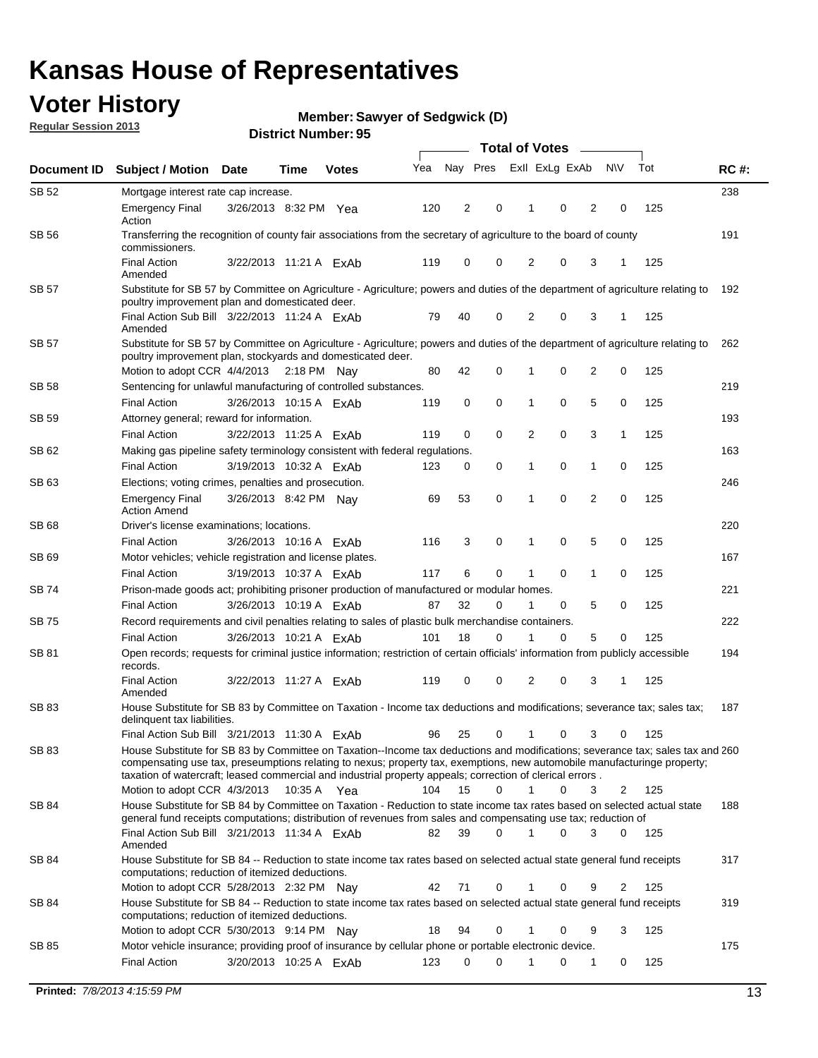### **Voter History**

**Member: Sawyer of Sedgwick (D)** 

**Regular Session 2013**

|              |                                                                                                                                                                                                                                                                                                                                                                                                                     |                        |              |     | <b>Total of Votes</b> |             |                |   |                |              |     |             |  |
|--------------|---------------------------------------------------------------------------------------------------------------------------------------------------------------------------------------------------------------------------------------------------------------------------------------------------------------------------------------------------------------------------------------------------------------------|------------------------|--------------|-----|-----------------------|-------------|----------------|---|----------------|--------------|-----|-------------|--|
| Document ID  | <b>Subject / Motion Date</b>                                                                                                                                                                                                                                                                                                                                                                                        | Time                   | <b>Votes</b> | Yea | Nay Pres              |             | Exll ExLg ExAb |   |                | <b>NV</b>    | Tot | <b>RC#:</b> |  |
| SB 52        | Mortgage interest rate cap increase.                                                                                                                                                                                                                                                                                                                                                                                |                        |              |     |                       |             |                |   |                |              |     | 238         |  |
|              | <b>Emergency Final</b><br>Action                                                                                                                                                                                                                                                                                                                                                                                    | 3/26/2013 8:32 PM Yea  |              | 120 | 2                     | 0           |                | 0 | 2              | 0            | 125 |             |  |
| SB 56        | Transferring the recognition of county fair associations from the secretary of agriculture to the board of county<br>commissioners.                                                                                                                                                                                                                                                                                 |                        |              |     |                       |             |                |   |                |              |     | 191         |  |
|              | <b>Final Action</b><br>Amended                                                                                                                                                                                                                                                                                                                                                                                      | 3/22/2013 11:21 A ExAb |              | 119 | 0                     | 0           | 2              | 0 | 3              | 1            | 125 |             |  |
| SB 57        | Substitute for SB 57 by Committee on Agriculture - Agriculture; powers and duties of the department of agriculture relating to<br>poultry improvement plan and domesticated deer.                                                                                                                                                                                                                                   |                        |              |     |                       |             |                |   |                |              |     | 192         |  |
|              | Final Action Sub Bill 3/22/2013 11:24 A ExAb<br>Amended                                                                                                                                                                                                                                                                                                                                                             |                        |              | 79  | 40                    | 0           | 2              | 0 | 3              | 1            | 125 |             |  |
| SB 57        | Substitute for SB 57 by Committee on Agriculture - Agriculture; powers and duties of the department of agriculture relating to<br>poultry improvement plan, stockyards and domesticated deer.                                                                                                                                                                                                                       |                        |              | 80  | 42                    | 0           |                | 0 | $\overline{2}$ | 0            | 125 | 262         |  |
| SB 58        | Motion to adopt CCR 4/4/2013 2:18 PM Nav<br>Sentencing for unlawful manufacturing of controlled substances.                                                                                                                                                                                                                                                                                                         |                        |              |     |                       |             |                |   |                |              |     | 219         |  |
|              | <b>Final Action</b>                                                                                                                                                                                                                                                                                                                                                                                                 | 3/26/2013 10:15 A ExAb |              | 119 | 0                     | 0           | 1              | 0 | 5              | 0            | 125 |             |  |
| SB 59        | Attorney general; reward for information.                                                                                                                                                                                                                                                                                                                                                                           |                        |              |     |                       |             |                |   |                |              |     | 193         |  |
|              | <b>Final Action</b>                                                                                                                                                                                                                                                                                                                                                                                                 | 3/22/2013 11:25 A ExAb |              | 119 | 0                     | 0           | 2              | 0 | 3              | $\mathbf{1}$ | 125 |             |  |
| SB 62        | Making gas pipeline safety terminology consistent with federal regulations.                                                                                                                                                                                                                                                                                                                                         |                        |              |     |                       |             |                |   |                |              |     | 163         |  |
|              | <b>Final Action</b>                                                                                                                                                                                                                                                                                                                                                                                                 | 3/19/2013 10:32 A ExAb |              | 123 | 0                     | 0           | 1              | 0 | 1              | 0            | 125 |             |  |
| SB 63        | Elections; voting crimes, penalties and prosecution.                                                                                                                                                                                                                                                                                                                                                                |                        |              |     |                       |             |                |   |                |              |     | 246         |  |
|              | <b>Emergency Final</b><br><b>Action Amend</b>                                                                                                                                                                                                                                                                                                                                                                       | 3/26/2013 8:42 PM Nay  |              | 69  | 53                    | $\mathbf 0$ | 1              | 0 | $\overline{2}$ | 0            | 125 |             |  |
| <b>SB 68</b> | Driver's license examinations; locations.                                                                                                                                                                                                                                                                                                                                                                           |                        |              |     |                       |             |                |   |                |              |     | 220         |  |
|              | <b>Final Action</b>                                                                                                                                                                                                                                                                                                                                                                                                 | 3/26/2013 10:16 A ExAb |              | 116 | 3                     | 0           | 1              | 0 | 5              | 0            | 125 |             |  |
| SB 69        | Motor vehicles; vehicle registration and license plates.                                                                                                                                                                                                                                                                                                                                                            |                        |              |     |                       |             |                |   |                |              |     | 167         |  |
|              | <b>Final Action</b>                                                                                                                                                                                                                                                                                                                                                                                                 | 3/19/2013 10:37 A ExAb |              | 117 | 6                     | 0           | 1              | 0 | $\mathbf{1}$   | 0            | 125 |             |  |
| SB 74        | Prison-made goods act; prohibiting prisoner production of manufactured or modular homes.                                                                                                                                                                                                                                                                                                                            |                        |              |     |                       |             |                |   |                |              |     | 221         |  |
|              | <b>Final Action</b>                                                                                                                                                                                                                                                                                                                                                                                                 | 3/26/2013 10:19 A ExAb |              | 87  | 32                    | 0           | 1              | 0 | 5              | 0            | 125 |             |  |
| SB 75        | Record requirements and civil penalties relating to sales of plastic bulk merchandise containers.                                                                                                                                                                                                                                                                                                                   |                        |              |     |                       |             |                |   |                |              |     | 222         |  |
|              | Final Action                                                                                                                                                                                                                                                                                                                                                                                                        | 3/26/2013 10:21 A ExAb |              | 101 | 18                    | 0           | 1              | 0 | 5              | 0            | 125 |             |  |
| SB 81        | Open records; requests for criminal justice information; restriction of certain officials' information from publicly accessible<br>records.                                                                                                                                                                                                                                                                         |                        |              |     |                       |             |                |   |                |              |     | 194         |  |
|              | <b>Final Action</b><br>Amended                                                                                                                                                                                                                                                                                                                                                                                      | 3/22/2013 11:27 A ExAb |              | 119 | 0                     | 0           | 2              | 0 | 3              | 1            | 125 |             |  |
| SB 83        | House Substitute for SB 83 by Committee on Taxation - Income tax deductions and modifications; severance tax; sales tax;<br>delinquent tax liabilities.                                                                                                                                                                                                                                                             |                        |              |     |                       |             |                |   |                |              |     | 187         |  |
|              | Final Action Sub Bill 3/21/2013 11:30 A ExAb                                                                                                                                                                                                                                                                                                                                                                        |                        |              | 96  | 25                    | 0           | 1              | 0 | 3              | 0            | 125 |             |  |
| SB 83        | House Substitute for SB 83 by Committee on Taxation--Income tax deductions and modifications; severance tax; sales tax and 260<br>compensating use tax, preseumptions relating to nexus; property tax, exemptions, new automobile manufacturinge property;<br>taxation of watercraft; leased commercial and industrial property appeals; correction of clerical errors.<br>Motion to adopt CCR 4/3/2013 10:35 A Yea |                        |              | 104 | 15                    | 0           | $\mathbf{1}$   | 0 | 3              | 2            | 125 |             |  |
| <b>SB 84</b> | House Substitute for SB 84 by Committee on Taxation - Reduction to state income tax rates based on selected actual state                                                                                                                                                                                                                                                                                            |                        |              |     |                       |             |                |   |                |              |     | 188         |  |
|              | general fund receipts computations; distribution of revenues from sales and compensating use tax; reduction of<br>Final Action Sub Bill 3/21/2013 11:34 A ExAb                                                                                                                                                                                                                                                      |                        |              | 82  | 39                    | 0           |                | 0 | 3              | $\Omega$     | 125 |             |  |
|              | Amended                                                                                                                                                                                                                                                                                                                                                                                                             |                        |              |     |                       |             |                |   |                |              |     |             |  |
| SB 84        | House Substitute for SB 84 -- Reduction to state income tax rates based on selected actual state general fund receipts<br>computations; reduction of itemized deductions.                                                                                                                                                                                                                                           |                        |              |     |                       |             |                |   |                |              |     | 317         |  |
|              | Motion to adopt CCR 5/28/2013 2:32 PM Nav                                                                                                                                                                                                                                                                                                                                                                           |                        |              | 42  | 71                    | 0           | 1              | 0 | 9              | 2            | 125 |             |  |
| SB 84        | House Substitute for SB 84 -- Reduction to state income tax rates based on selected actual state general fund receipts<br>computations; reduction of itemized deductions.<br>Motion to adopt CCR 5/30/2013 9:14 PM Nay                                                                                                                                                                                              |                        |              | 18  | 94                    | 0           |                | 0 | 9              | 3            | 125 | 319         |  |
| SB 85        | Motor vehicle insurance; providing proof of insurance by cellular phone or portable electronic device.                                                                                                                                                                                                                                                                                                              |                        |              |     |                       |             |                |   |                |              |     | 175         |  |
|              | Final Action                                                                                                                                                                                                                                                                                                                                                                                                        | 3/20/2013 10:25 A ExAb |              | 123 | 0                     | 0           |                | 0 | 1              | 0            | 125 |             |  |
|              |                                                                                                                                                                                                                                                                                                                                                                                                                     |                        |              |     |                       |             |                |   |                |              |     |             |  |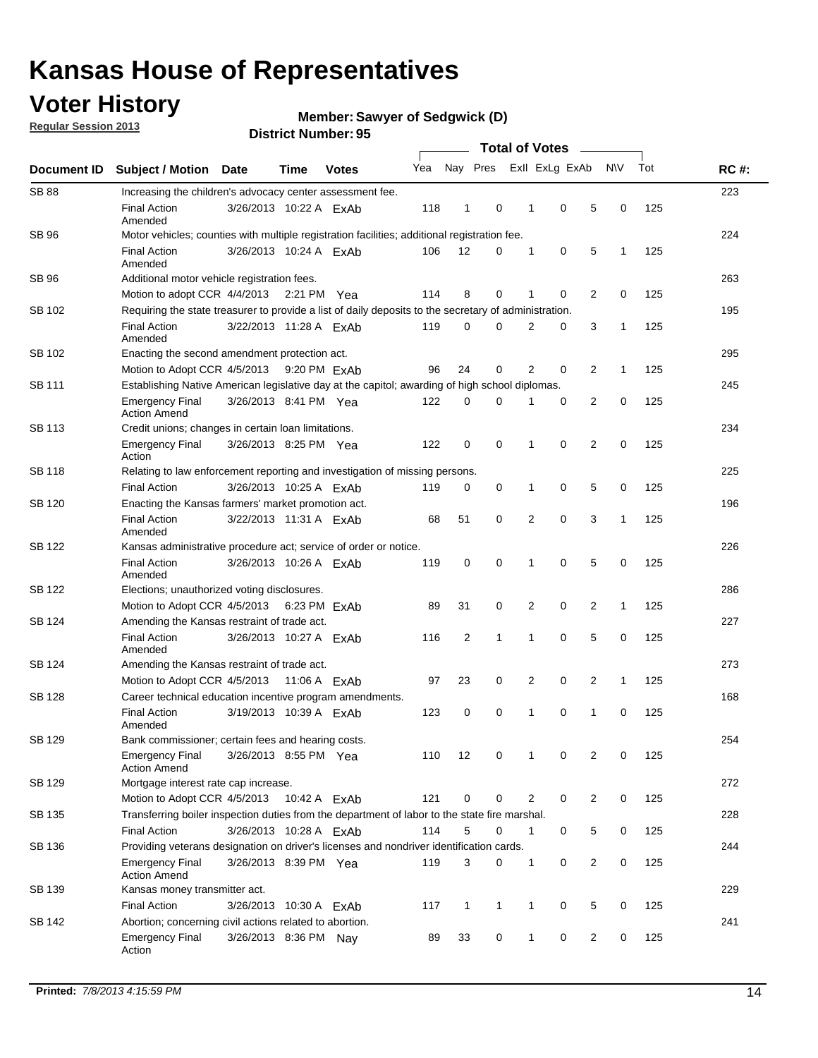### **Voter History**

**Regular Session 2013**

**Member: Sawyer of Sedgwick (D)** 

| Document ID   |                                                                                                       |                                                      |      |                |     |                         |              |                |   |                |              |     |             |  |
|---------------|-------------------------------------------------------------------------------------------------------|------------------------------------------------------|------|----------------|-----|-------------------------|--------------|----------------|---|----------------|--------------|-----|-------------|--|
|               | <b>Subject / Motion Date</b>                                                                          |                                                      | Time | <b>Votes</b>   | Yea | Nay Pres                |              | Exll ExLg ExAb |   |                | <b>NV</b>    | Tot | <b>RC#:</b> |  |
| <b>SB 88</b>  | Increasing the children's advocacy center assessment fee.                                             |                                                      |      |                |     |                         |              |                |   |                |              |     | 223         |  |
|               | <b>Final Action</b><br>Amended                                                                        | 3/26/2013 10:22 A ExAb                               |      |                | 118 | 1                       | 0            | 1              | 0 | 5              | 0            | 125 |             |  |
| <b>SB 96</b>  | Motor vehicles; counties with multiple registration facilities; additional registration fee.          |                                                      |      |                |     |                         |              |                |   |                |              |     | 224         |  |
|               | <b>Final Action</b><br>Amended                                                                        | 3/26/2013 10:24 A ExAb                               |      |                | 106 | 12                      | 0            | 1              | 0 | 5              | 1            | 125 |             |  |
| SB 96         | Additional motor vehicle registration fees.                                                           |                                                      |      |                |     |                         |              |                |   |                |              |     | 263         |  |
|               | Motion to adopt CCR 4/4/2013 2:21 PM                                                                  |                                                      |      | Yea            | 114 | 8                       | 0            | 1              | 0 | 2              | $\mathbf 0$  | 125 |             |  |
| SB 102        | Requiring the state treasurer to provide a list of daily deposits to the secretary of administration. |                                                      |      |                |     |                         |              |                |   |                |              |     | 195         |  |
|               | <b>Final Action</b><br>Amended                                                                        | 3/22/2013 11:28 A ExAb                               |      |                | 119 | 0                       | $\Omega$     | $\overline{2}$ | 0 | 3              | $\mathbf{1}$ | 125 |             |  |
| SB 102        |                                                                                                       | 295<br>Enacting the second amendment protection act. |      |                |     |                         |              |                |   |                |              |     |             |  |
|               | Motion to Adopt CCR 4/5/2013                                                                          |                                                      |      | 9:20 PM ExAb   | 96  | 24                      | 0            | 2              | 0 | 2              | $\mathbf{1}$ | 125 |             |  |
| SB 111        | Establishing Native American legislative day at the capitol; awarding of high school diplomas.        |                                                      |      |                |     |                         |              |                |   |                |              |     |             |  |
|               | <b>Emergency Final</b><br><b>Action Amend</b>                                                         | 3/26/2013 8:41 PM Yea                                |      |                | 122 | 0                       | 0            | 1              | 0 | 2              | 0            | 125 |             |  |
| <b>SB 113</b> | Credit unions; changes in certain loan limitations.                                                   |                                                      |      |                |     |                         |              |                |   |                |              |     | 234         |  |
|               | <b>Emergency Final</b><br>Action                                                                      | 3/26/2013 8:25 PM Yea                                |      |                | 122 | 0                       | 0            | 1              | 0 | 2              | 0            | 125 |             |  |
| <b>SB 118</b> | Relating to law enforcement reporting and investigation of missing persons.                           |                                                      |      |                |     |                         |              |                |   |                |              |     | 225         |  |
|               | <b>Final Action</b>                                                                                   | 3/26/2013 10:25 A ExAb                               |      |                | 119 | 0                       | 0            | 1              | 0 | 5              | 0            | 125 |             |  |
| SB 120        | Enacting the Kansas farmers' market promotion act.                                                    |                                                      |      |                |     |                         |              |                |   |                |              |     | 196         |  |
|               | <b>Final Action</b><br>Amended                                                                        | 3/22/2013 11:31 A ExAb                               |      |                | 68  | 51                      | 0            | 2              | 0 | 3              | 1            | 125 |             |  |
| <b>SB 122</b> | Kansas administrative procedure act; service of order or notice.                                      |                                                      |      |                |     |                         |              |                |   |                |              |     | 226         |  |
|               | <b>Final Action</b><br>Amended                                                                        | 3/26/2013 10:26 A ExAb                               |      |                | 119 | 0                       | 0            | 1              | 0 | 5              | $\mathbf 0$  | 125 |             |  |
| SB 122        | Elections; unauthorized voting disclosures.                                                           |                                                      |      |                |     |                         |              |                |   |                |              |     |             |  |
|               | Motion to Adopt CCR 4/5/2013                                                                          |                                                      |      | 6:23 PM ExAb   | 89  | 31                      | 0            | 2              | 0 | 2              | $\mathbf{1}$ | 125 |             |  |
| SB 124        | Amending the Kansas restraint of trade act.                                                           |                                                      |      |                |     |                         |              |                |   |                |              |     | 227         |  |
|               | <b>Final Action</b><br>Amended                                                                        | 3/26/2013 10:27 A ExAb                               |      |                | 116 | $\overline{\mathbf{c}}$ | 1            | 1              | 0 | 5              | 0            | 125 |             |  |
| SB 124        | Amending the Kansas restraint of trade act.                                                           |                                                      |      |                |     |                         |              |                |   |                |              |     | 273         |  |
|               | Motion to Adopt CCR 4/5/2013                                                                          |                                                      |      | 11:06 A $FxAb$ | 97  | 23                      | 0            | 2              | 0 | 2              | $\mathbf{1}$ | 125 |             |  |
| SB 128        | Career technical education incentive program amendments.                                              |                                                      |      |                |     |                         |              |                |   |                |              |     | 168         |  |
|               | <b>Final Action</b><br>Amended                                                                        | 3/19/2013 10:39 A ExAb                               |      |                | 123 | 0                       | 0            | 1              | 0 | 1              | 0            | 125 |             |  |
| SB 129        | Bank commissioner: certain fees and hearing costs.                                                    |                                                      |      |                |     |                         |              |                |   |                |              |     | 254         |  |
|               | <b>Emergency Final</b><br><b>Action Amend</b>                                                         | 3/26/2013 8:55 PM Yea                                |      |                | 110 | 12                      | 0            |                | 0 | 2              | 0            | 125 |             |  |
| <b>SB 129</b> | Mortgage interest rate cap increase.                                                                  |                                                      |      |                |     |                         |              |                |   |                |              |     | 272         |  |
|               | Motion to Adopt CCR 4/5/2013 10:42 A ExAb                                                             |                                                      |      |                | 121 | 0                       | 0            | 2              | 0 | 2              | 0            | 125 |             |  |
| SB 135        | Transferring boiler inspection duties from the department of labor to the state fire marshal.         |                                                      |      |                |     |                         |              |                |   |                |              |     | 228         |  |
|               | <b>Final Action</b>                                                                                   | 3/26/2013 10:28 A ExAb                               |      |                | 114 | 5                       | 0            | $\mathbf 1$    | 0 | 5              | 0            | 125 |             |  |
| SB 136        | Providing veterans designation on driver's licenses and nondriver identification cards.               |                                                      |      |                |     |                         |              |                |   |                |              |     | 244         |  |
|               | <b>Emergency Final</b><br><b>Action Amend</b>                                                         | 3/26/2013 8:39 PM Yea                                |      |                | 119 | 3                       | 0            | 1              | 0 | $\overline{2}$ | 0            | 125 |             |  |
| SB 139        | Kansas money transmitter act.                                                                         |                                                      |      |                |     |                         |              |                |   |                |              |     | 229         |  |
|               | <b>Final Action</b>                                                                                   | 3/26/2013 10:30 A ExAb                               |      |                | 117 | 1                       | $\mathbf{1}$ | $\mathbf{1}$   | 0 | 5              | 0            | 125 |             |  |
| SB 142        | Abortion; concerning civil actions related to abortion.                                               |                                                      |      |                |     |                         |              |                |   |                |              |     | 241         |  |
|               | <b>Emergency Final</b><br>Action                                                                      | 3/26/2013 8:36 PM Nay                                |      |                | 89  | 33                      | 0            | $\mathbf{1}$   | 0 | 2              | 0            | 125 |             |  |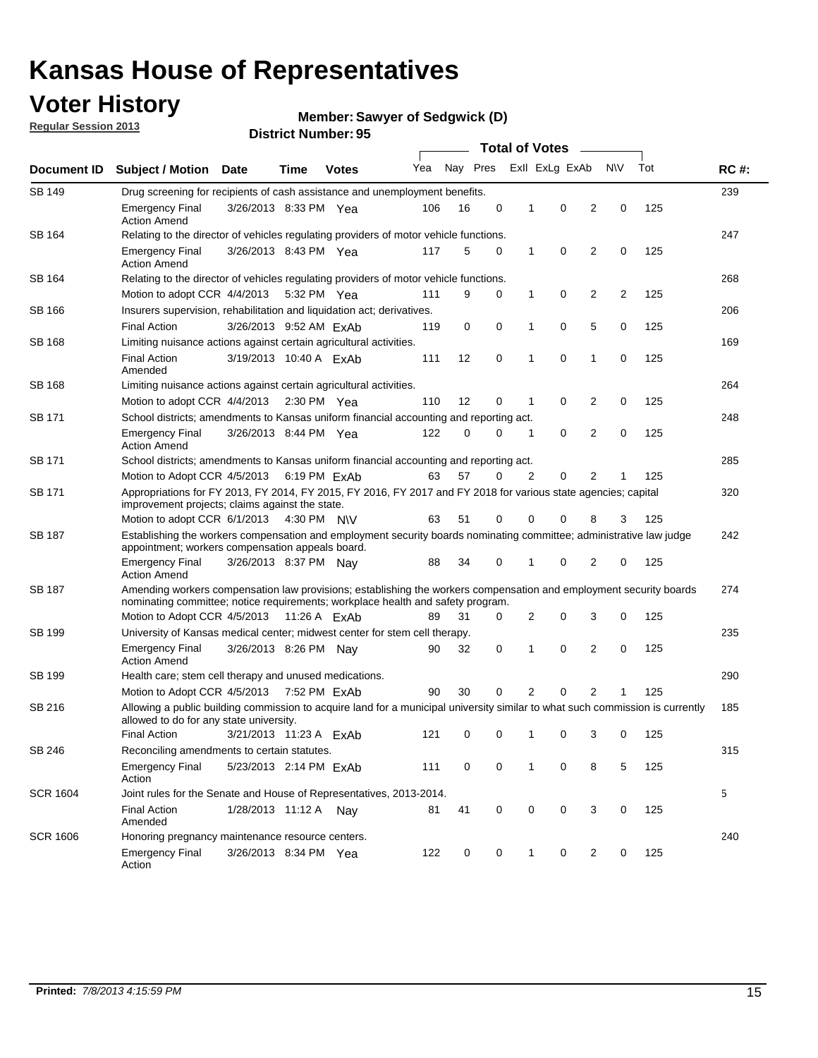### **Voter History**

**Member: Sawyer of Sedgwick (D)** 

**Regular Session 2013**

| Document ID     |                                                                                                                                                                                                       |                                                                                                 |      |                       | <b>Total of Votes</b> |          |             |                |                |                |           |     |             |  |
|-----------------|-------------------------------------------------------------------------------------------------------------------------------------------------------------------------------------------------------|-------------------------------------------------------------------------------------------------|------|-----------------------|-----------------------|----------|-------------|----------------|----------------|----------------|-----------|-----|-------------|--|
|                 | <b>Subject / Motion</b>                                                                                                                                                                               | Date                                                                                            | Time | <b>Votes</b>          | Yea                   | Nay Pres |             |                | Exll ExLg ExAb |                | <b>NV</b> | Tot | <b>RC#:</b> |  |
| SB 149          |                                                                                                                                                                                                       | 239<br>Drug screening for recipients of cash assistance and unemployment benefits.              |      |                       |                       |          |             |                |                |                |           |     |             |  |
|                 | <b>Emergency Final</b><br><b>Action Amend</b>                                                                                                                                                         | 3/26/2013 8:33 PM Yea                                                                           |      |                       | 106                   | 16       | 0           | $\mathbf 1$    | 0              | 2              | 0         | 125 |             |  |
| SB 164          | Relating to the director of vehicles regulating providers of motor vehicle functions.                                                                                                                 |                                                                                                 |      |                       |                       |          |             |                |                |                |           |     | 247         |  |
|                 | <b>Emergency Final</b><br><b>Action Amend</b>                                                                                                                                                         | 3/26/2013 8:43 PM Yea                                                                           |      |                       | 117                   | 5        | 0           | 1              | 0              | 2              | 0         | 125 |             |  |
| SB 164          | Relating to the director of vehicles regulating providers of motor vehicle functions.                                                                                                                 |                                                                                                 |      |                       |                       |          |             |                |                |                |           |     | 268         |  |
|                 |                                                                                                                                                                                                       | 0<br>Motion to adopt CCR 4/4/2013 5:32 PM Yea<br>9<br>0<br>$\mathbf{1}$<br>2<br>2<br>125<br>111 |      |                       |                       |          |             |                |                |                |           |     |             |  |
| SB 166          | Insurers supervision, rehabilitation and liquidation act; derivatives.                                                                                                                                |                                                                                                 |      |                       |                       |          |             |                |                |                |           |     | 206         |  |
|                 | <b>Final Action</b>                                                                                                                                                                                   | 3/26/2013 9:52 AM ExAb                                                                          |      |                       | 119                   | 0        | 0           | 1              | 0              | 5              | 0         | 125 |             |  |
| SB 168          | Limiting nuisance actions against certain agricultural activities.                                                                                                                                    |                                                                                                 |      |                       |                       |          |             |                |                |                |           |     | 169         |  |
|                 | <b>Final Action</b><br>Amended                                                                                                                                                                        | 3/19/2013 10:40 A ExAb                                                                          |      |                       | 111                   | 12       | $\mathbf 0$ | 1              | $\mathbf 0$    | 1              | 0         | 125 |             |  |
| SB 168          | Limiting nuisance actions against certain agricultural activities.                                                                                                                                    |                                                                                                 |      |                       |                       |          |             |                |                |                |           |     | 264         |  |
|                 | Motion to adopt CCR 4/4/2013                                                                                                                                                                          |                                                                                                 |      | $2:30 \text{ PM}$ Yea | 110                   | 12       | 0           | 1              | 0              | 2              | 0         | 125 |             |  |
| SB 171          | School districts; amendments to Kansas uniform financial accounting and reporting act.                                                                                                                |                                                                                                 |      |                       |                       |          |             |                |                |                |           |     | 248         |  |
|                 | <b>Emergency Final</b><br><b>Action Amend</b>                                                                                                                                                         | 3/26/2013 8:44 PM Yea                                                                           |      |                       | 122                   | 0        | 0           | 1              | 0              | 2              | 0         | 125 |             |  |
| SB 171          | School districts; amendments to Kansas uniform financial accounting and reporting act.                                                                                                                |                                                                                                 |      |                       |                       |          |             |                |                |                |           |     | 285         |  |
|                 | Motion to Adopt CCR 4/5/2013 6:19 PM ExAb                                                                                                                                                             |                                                                                                 |      |                       | 63                    | 57       | 0           | $\overline{2}$ | 0              | $\overline{2}$ |           | 125 |             |  |
| SB 171          | Appropriations for FY 2013, FY 2014, FY 2015, FY 2016, FY 2017 and FY 2018 for various state agencies; capital<br>improvement projects; claims against the state.                                     |                                                                                                 |      |                       |                       |          |             |                |                |                |           |     | 320         |  |
|                 | Motion to adopt CCR 6/1/2013 4:30 PM N\V                                                                                                                                                              |                                                                                                 |      |                       | 63                    | 51       | 0           | 0              | 0              | 8              | 3         | 125 |             |  |
| SB 187          | Establishing the workers compensation and employment security boards nominating committee; administrative law judge<br>appointment; workers compensation appeals board.                               |                                                                                                 |      |                       |                       |          |             |                |                |                |           |     | 242         |  |
|                 | <b>Emergency Final</b><br><b>Action Amend</b>                                                                                                                                                         | 3/26/2013 8:37 PM Nav                                                                           |      |                       | 88                    | 34       | 0           |                | 0              | 2              | 0         | 125 |             |  |
| SB 187          | Amending workers compensation law provisions; establishing the workers compensation and employment security boards<br>nominating committee; notice requirements; workplace health and safety program. |                                                                                                 |      |                       |                       |          |             |                |                |                |           |     | 274         |  |
|                 | Motion to Adopt CCR 4/5/2013 11:26 A ExAb                                                                                                                                                             |                                                                                                 |      |                       | 89                    | 31       | 0           | 2              | 0              | 3              | 0         | 125 |             |  |
| SB 199          | University of Kansas medical center; midwest center for stem cell therapy.                                                                                                                            |                                                                                                 |      |                       |                       |          |             |                |                |                |           |     | 235         |  |
|                 | <b>Emergency Final</b><br><b>Action Amend</b>                                                                                                                                                         | 3/26/2013 8:26 PM Nav                                                                           |      |                       | 90                    | 32       | 0           | 1              | 0              | 2              | 0         | 125 |             |  |
| SB 199          | Health care; stem cell therapy and unused medications.                                                                                                                                                |                                                                                                 |      |                       |                       |          |             |                |                |                |           |     | 290         |  |
|                 | Motion to Adopt CCR 4/5/2013                                                                                                                                                                          |                                                                                                 |      | 7:52 PM FxAb          | 90                    | 30       | 0           | 2              | 0              | 2              | 1         | 125 |             |  |
| SB 216          | Allowing a public building commission to acquire land for a municipal university similar to what such commission is currently<br>allowed to do for any state university.                              |                                                                                                 |      |                       |                       |          |             |                |                |                |           |     | 185         |  |
|                 | <b>Final Action</b>                                                                                                                                                                                   | 3/21/2013 11:23 A ExAb                                                                          |      |                       | 121                   | 0        | 0           | 1              | 0              | 3              | 0         | 125 |             |  |
| <b>SB 246</b>   | Reconciling amendments to certain statutes.                                                                                                                                                           |                                                                                                 |      |                       |                       |          |             |                |                |                |           |     | 315         |  |
|                 | <b>Emergency Final</b><br>Action                                                                                                                                                                      | 5/23/2013 2:14 PM ExAb                                                                          |      |                       | 111                   | 0        | 0           | 1              | 0              | 8              | 5         | 125 |             |  |
| <b>SCR 1604</b> | Joint rules for the Senate and House of Representatives, 2013-2014.                                                                                                                                   |                                                                                                 |      |                       |                       |          |             |                |                |                |           |     | 5           |  |
|                 | <b>Final Action</b><br>Amended                                                                                                                                                                        | 1/28/2013 11:12 A Nay                                                                           |      |                       | 81                    | 41       | 0           | 0              | 0              | 3              | 0         | 125 |             |  |
| <b>SCR 1606</b> | Honoring pregnancy maintenance resource centers.                                                                                                                                                      |                                                                                                 |      |                       |                       |          |             |                |                |                |           |     | 240         |  |
|                 | <b>Emergency Final</b><br>Action                                                                                                                                                                      | 3/26/2013 8:34 PM Yea                                                                           |      |                       | 122                   | 0        | 0           | 1              | 0              | 2              | 0         | 125 |             |  |